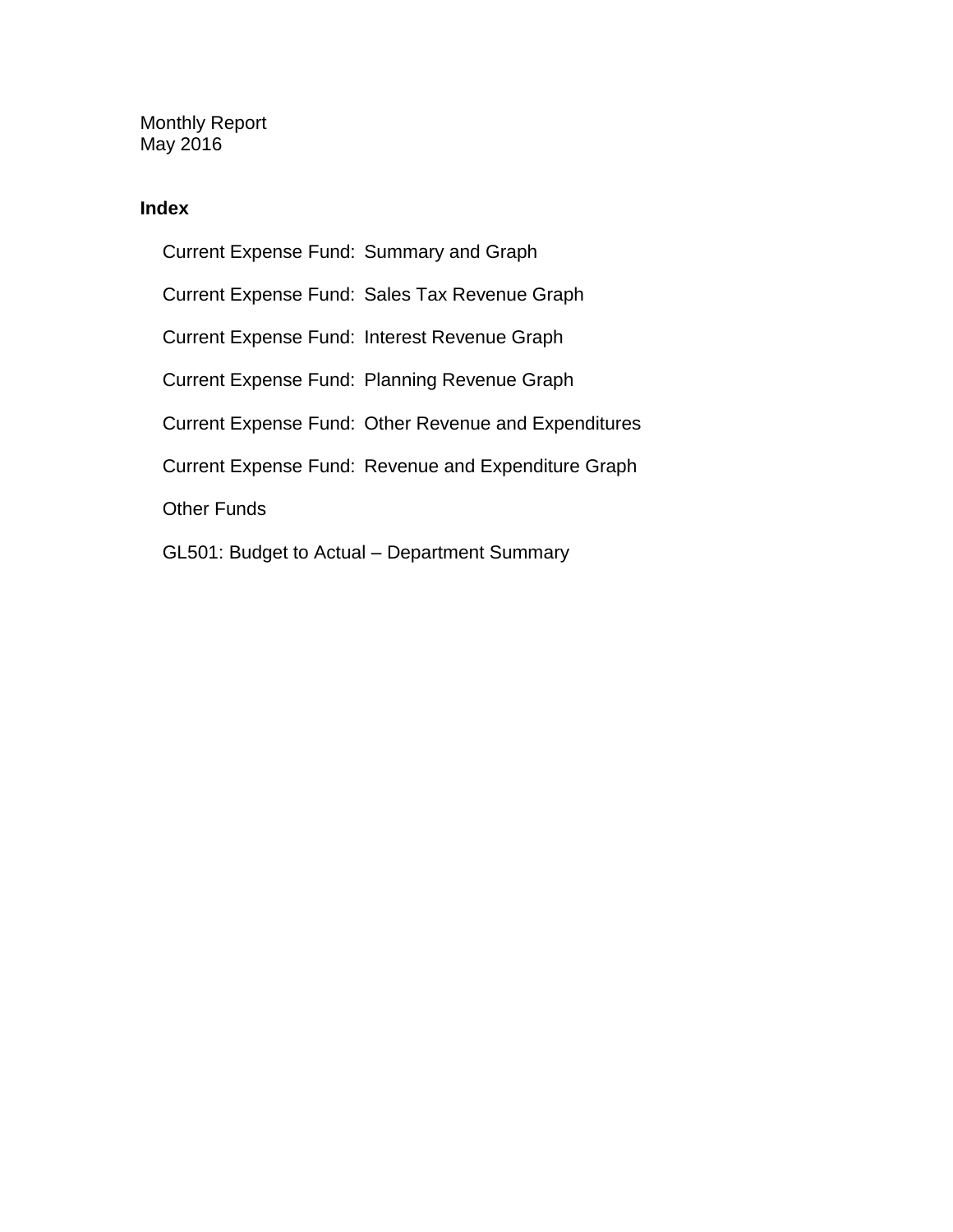Monthly Report May 2016

## **Index**

Current Expense Fund: Summary and Graph Current Expense Fund: Sales Tax Revenue Graph Current Expense Fund: Interest Revenue Graph Current Expense Fund: Planning Revenue Graph Current Expense Fund: Other Revenue and Expenditures Current Expense Fund: Revenue and Expenditure Graph Other Funds GL501: Budget to Actual – Department Summary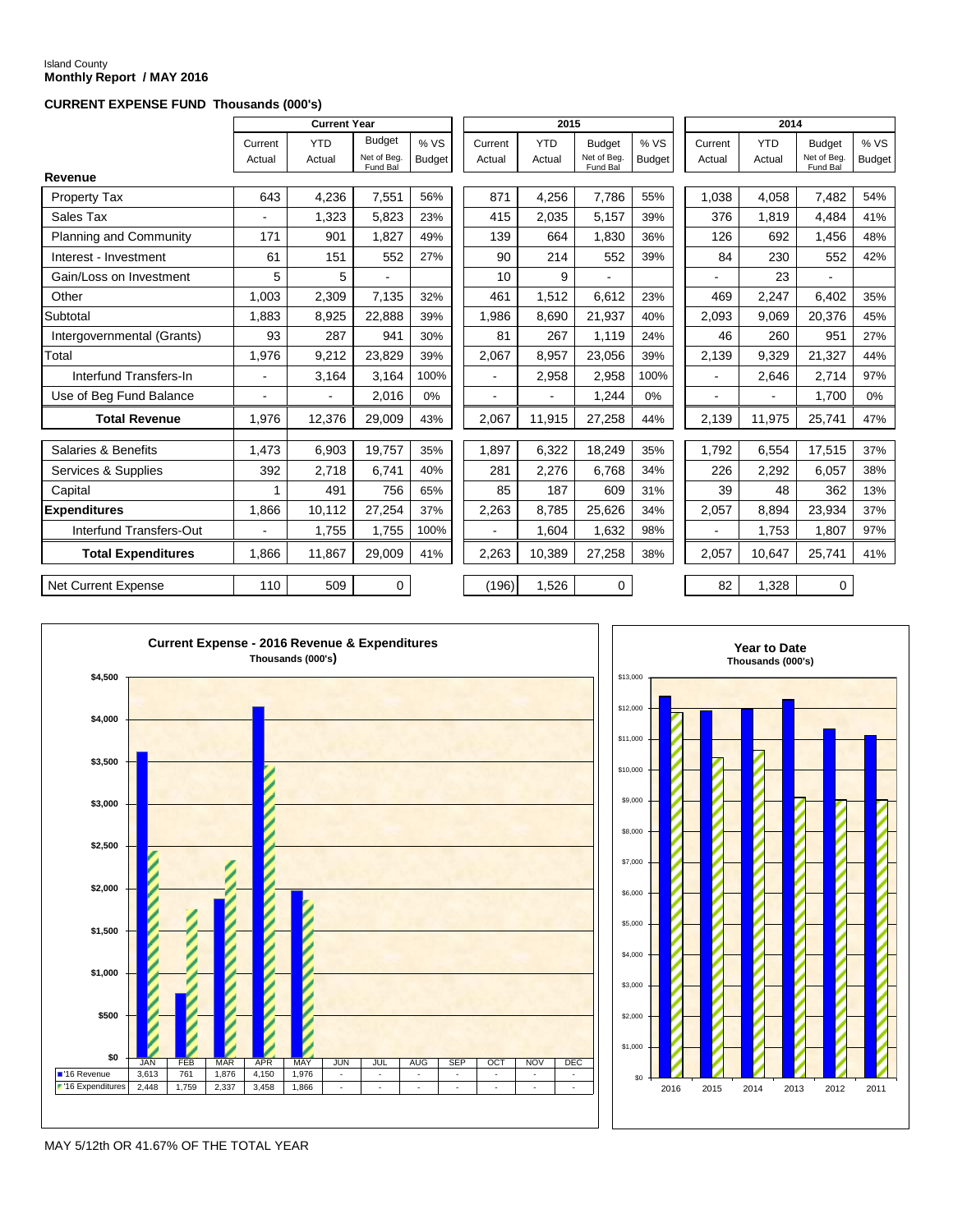# Island County **Monthly Report / MAY 2016**

### **CURRENT EXPENSE FUND Thousands (000's)**

|                               |                   | <b>Current Year</b>  |                                          |                       |                   | 2015                 |                                          |                      | 2014              |                      |                                          |                      |
|-------------------------------|-------------------|----------------------|------------------------------------------|-----------------------|-------------------|----------------------|------------------------------------------|----------------------|-------------------|----------------------|------------------------------------------|----------------------|
|                               | Current<br>Actual | <b>YTD</b><br>Actual | <b>Budget</b><br>Net of Beg.<br>Fund Bal | % VS<br><b>Budget</b> | Current<br>Actual | <b>YTD</b><br>Actual | <b>Budget</b><br>Net of Beg.<br>Fund Bal | %VS<br><b>Budget</b> | Current<br>Actual | <b>YTD</b><br>Actual | <b>Budget</b><br>Net of Beg.<br>Fund Bal | %VS<br><b>Budget</b> |
| Revenue                       |                   |                      |                                          |                       |                   |                      |                                          |                      |                   |                      |                                          |                      |
| Property Tax                  | 643               | 4,236                | 7,551                                    | 56%                   | 871               | 4,256                | 7,786                                    | 55%                  | 1,038             | 4.058                | 7,482                                    | 54%                  |
| Sales Tax                     | $\blacksquare$    | 1,323                | 5,823                                    | 23%                   | 415               | 2,035                | 5,157                                    | 39%                  | 376               | 1,819                | 4,484                                    | 41%                  |
| <b>Planning and Community</b> | 171               | 901                  | 1,827                                    | 49%                   | 139               | 664                  | 1,830                                    | 36%                  | 126               | 692                  | 1,456                                    | 48%                  |
| Interest - Investment         | 61                | 151                  | 552                                      | 27%                   | 90                | 214                  | 552                                      | 39%                  | 84                | 230                  | 552                                      | 42%                  |
| Gain/Loss on Investment       | 5                 | 5                    |                                          |                       | 10                | 9                    |                                          |                      |                   | 23                   |                                          |                      |
| Other                         | 1,003             | 2,309                | 7,135                                    | 32%                   | 461               | 1,512                | 6,612                                    | 23%                  | 469               | 2,247                | 6,402                                    | 35%                  |
| Subtotal                      | 1,883             | 8,925                | 22,888                                   | 39%                   | 1,986             | 8,690                | 21,937                                   | 40%                  | 2,093             | 9,069                | 20,376                                   | 45%                  |
| Intergovernmental (Grants)    | 93                | 287                  | 941                                      | 30%                   | 81                | 267                  | 1,119                                    | 24%                  | 46                | 260                  | 951                                      | 27%                  |
| Total                         | 1,976             | 9,212                | 23,829                                   | 39%                   | 2,067             | 8,957                | 23,056                                   | 39%                  | 2,139             | 9,329                | 21,327                                   | 44%                  |
| Interfund Transfers-In        | $\overline{a}$    | 3,164                | 3,164                                    | 100%                  | ä,                | 2,958                | 2,958                                    | 100%                 | ÷.                | 2,646                | 2,714                                    | 97%                  |
| Use of Beg Fund Balance       |                   |                      | 2,016                                    | 0%                    | ۰                 | ۰                    | 1,244                                    | 0%                   |                   |                      | 1,700                                    | $0\%$                |
| <b>Total Revenue</b>          | 1,976             | 12,376               | 29,009                                   | 43%                   | 2,067             | 11,915               | 27,258                                   | 44%                  | 2,139             | 11,975               | 25,741                                   | 47%                  |
| Salaries & Benefits           | 1.473             | 6,903                | 19.757                                   | 35%                   | 1,897             | 6,322                | 18,249                                   | 35%                  | 1,792             | 6,554                | 17,515                                   | 37%                  |
| Services & Supplies           | 392               | 2,718                | 6,741                                    | 40%                   | 281               | 2,276                | 6,768                                    | 34%                  | 226               | 2,292                | 6,057                                    | 38%                  |
| Capital                       |                   | 491                  | 756                                      | 65%                   | 85                | 187                  | 609                                      | 31%                  | 39                | 48                   | 362                                      | 13%                  |
| <b>Expenditures</b>           | 1,866             | 10,112               | 27,254                                   | 37%                   | 2,263             | 8,785                | 25,626                                   | 34%                  | 2,057             | 8,894                | 23,934                                   | 37%                  |
| Interfund Transfers-Out       |                   | 1,755                | 1,755                                    | 100%                  | $\blacksquare$    | 1,604                | 1,632                                    | 98%                  | $\blacksquare$    | 1,753                | 1,807                                    | 97%                  |
| <b>Total Expenditures</b>     | 1.866             | 11,867               | 29,009                                   | 41%                   | 2,263             | 10,389               | 27,258                                   | 38%                  | 2,057             | 10,647               | 25,741                                   | 41%                  |
| <b>Net Current Expense</b>    | 110               | 509                  | 0                                        |                       | (196)             | 1,526                | 0                                        |                      | 82                | 1,328                | 0                                        |                      |





MAY 5/12th OR 41.67% OF THE TOTAL YEAR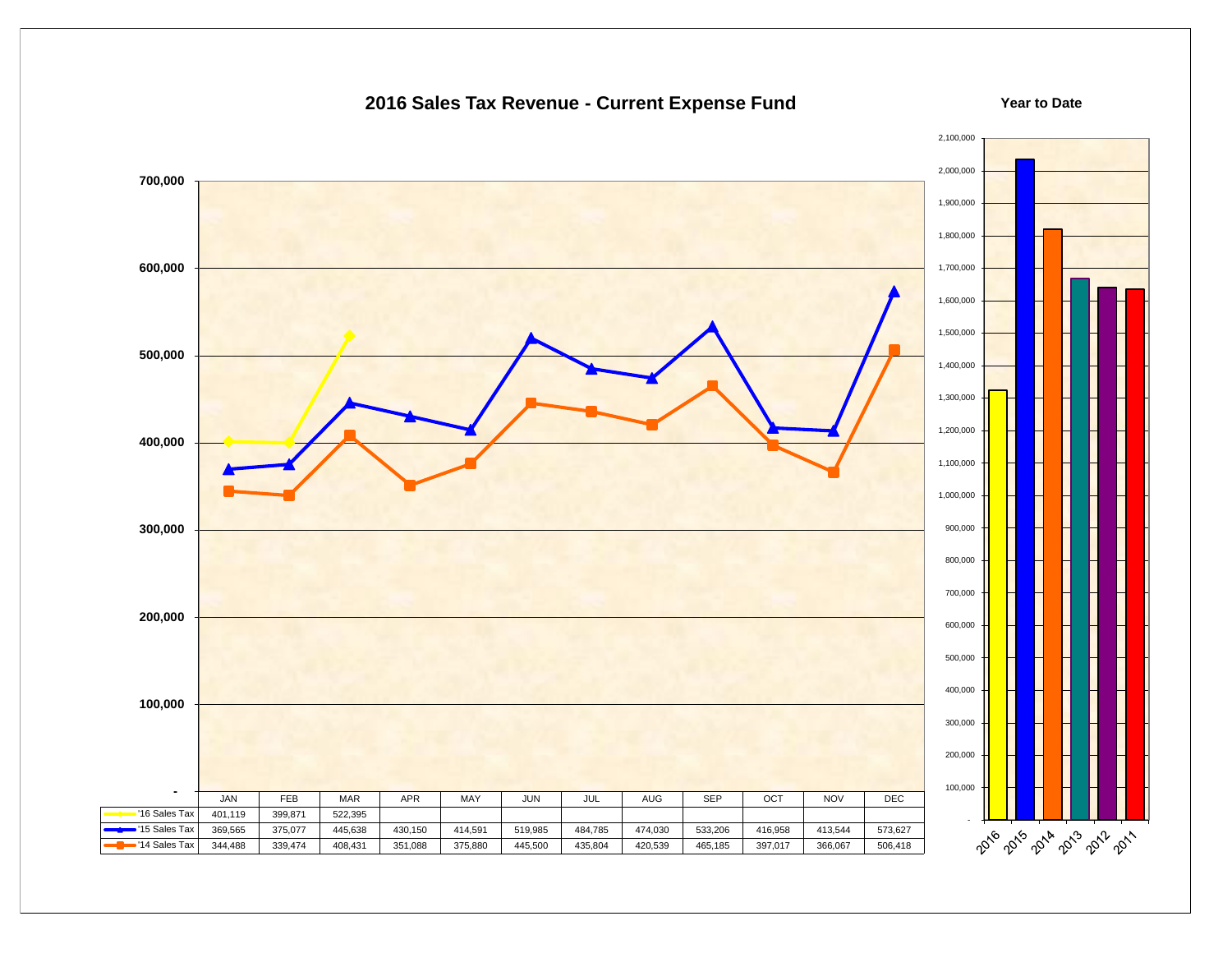## **2016 Sales Tax Revenue - Current Expense Fund**

#### **Year to Date**

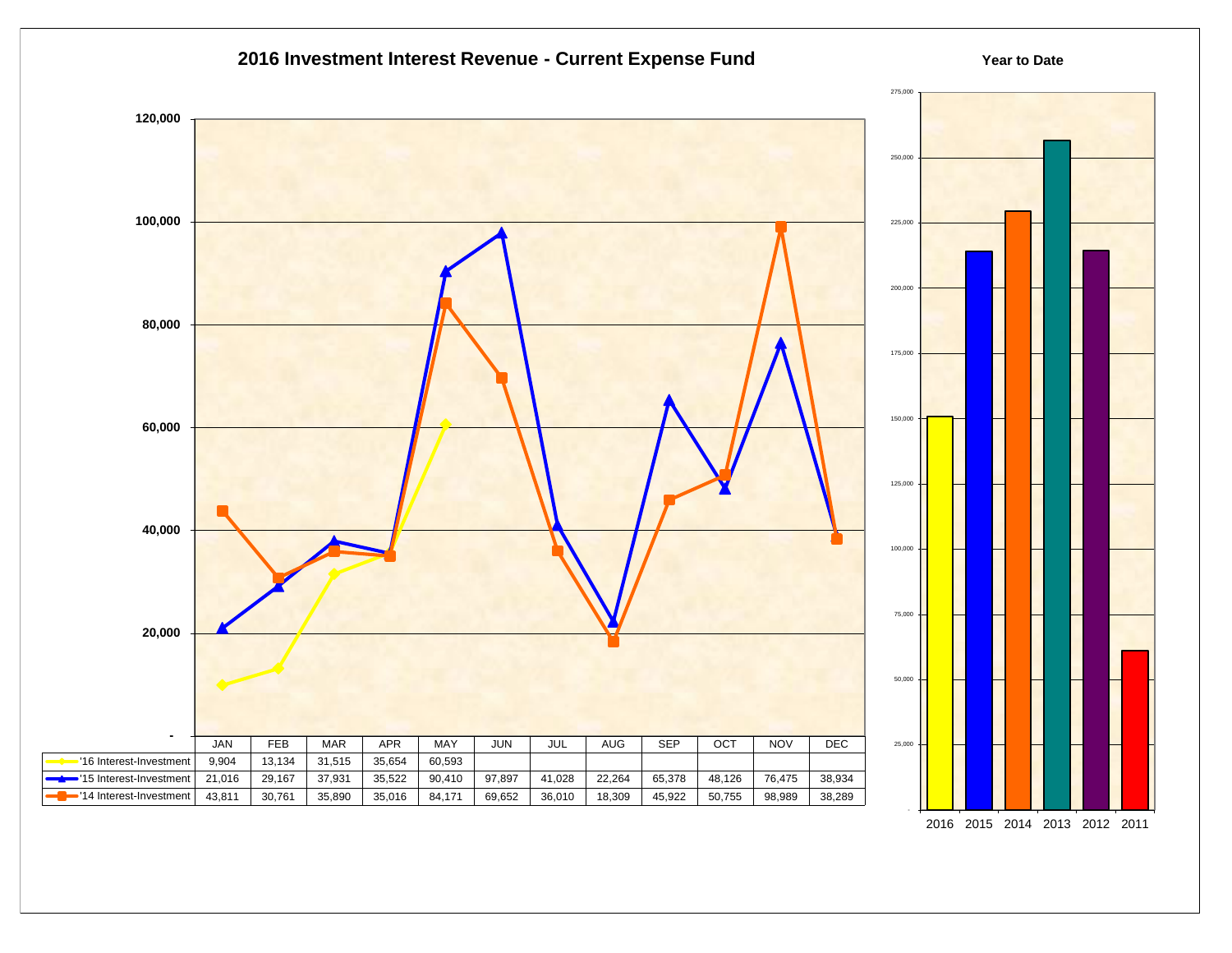

2016 2015 2014 2013 2012 2011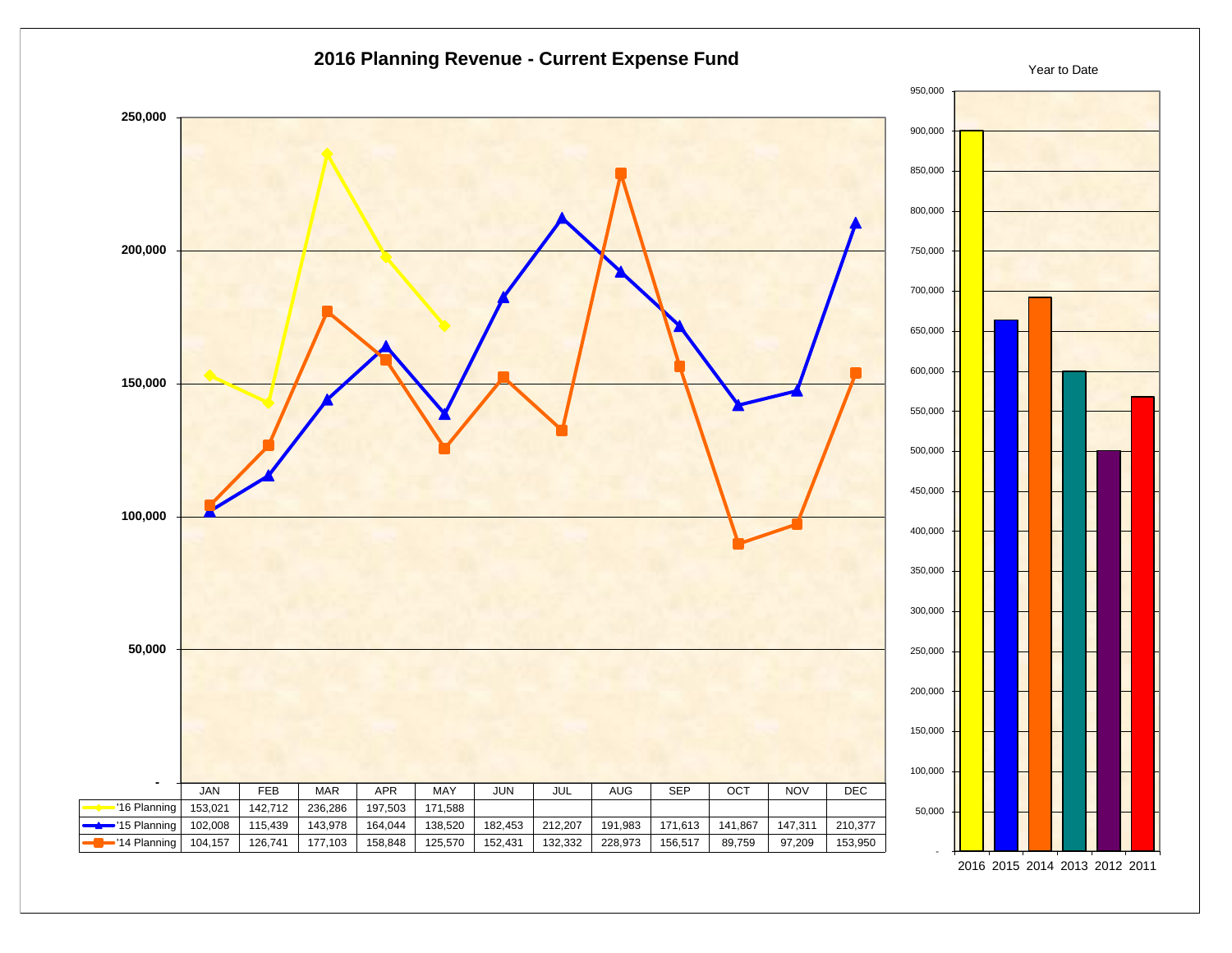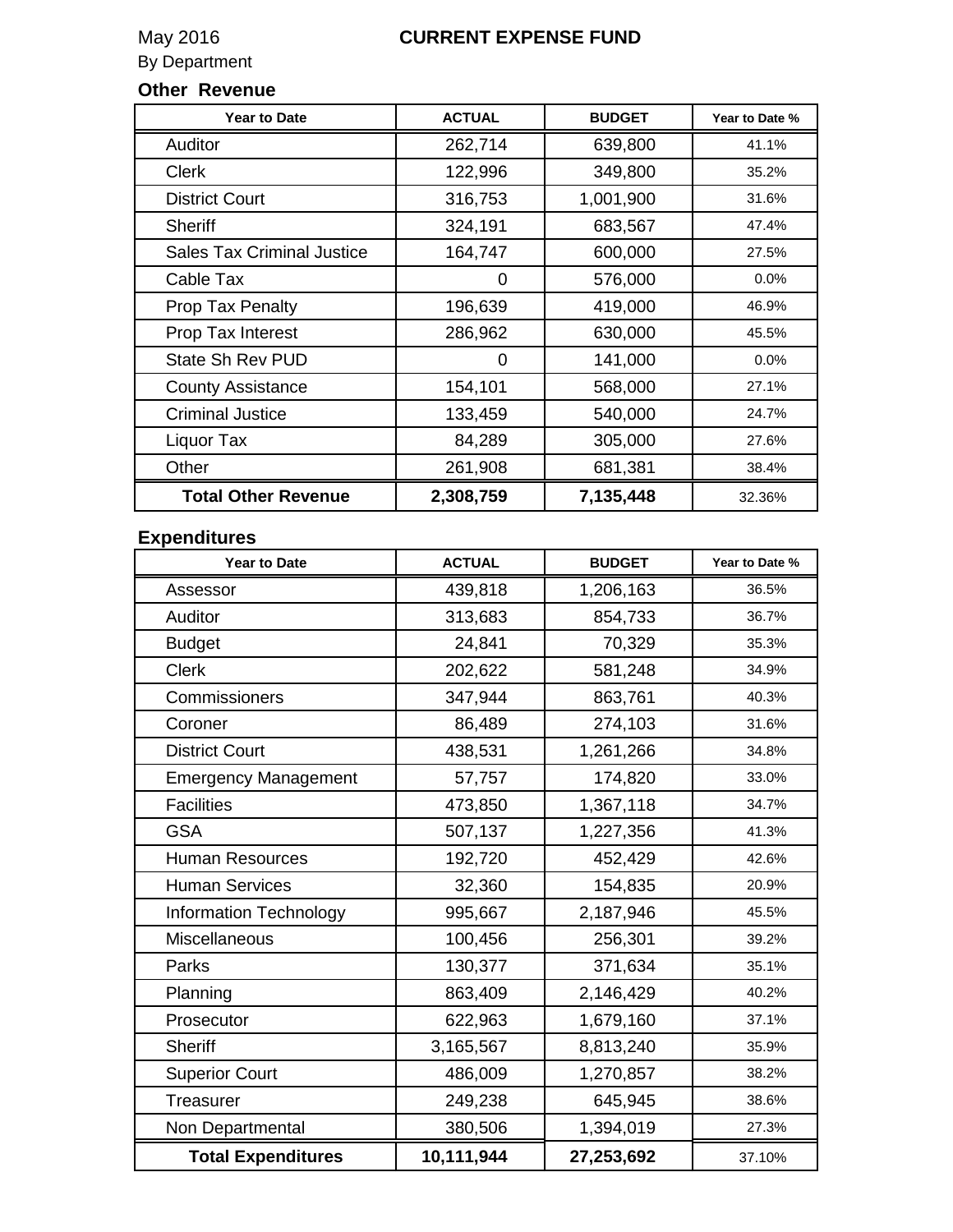# May 2016 **CURRENT EXPENSE FUND**

By Department

## **Other Revenue**

| <b>Year to Date</b>               | <b>ACTUAL</b> | <b>BUDGET</b> | Year to Date % |
|-----------------------------------|---------------|---------------|----------------|
| Auditor                           | 262,714       | 639,800       | 41.1%          |
| <b>Clerk</b>                      | 122,996       | 349,800       | 35.2%          |
| <b>District Court</b>             | 316,753       | 1,001,900     | 31.6%          |
| <b>Sheriff</b>                    | 324,191       | 683,567       | 47.4%          |
| <b>Sales Tax Criminal Justice</b> | 164,747       | 600,000       | 27.5%          |
| Cable Tax                         | 0             | 576,000       | 0.0%           |
| <b>Prop Tax Penalty</b>           | 196,639       | 419,000       | 46.9%          |
| Prop Tax Interest                 | 286,962       | 630,000       | 45.5%          |
| State Sh Rev PUD                  | 0             | 141,000       | 0.0%           |
| <b>County Assistance</b>          | 154,101       | 568,000       | 27.1%          |
| <b>Criminal Justice</b>           | 133,459       | 540,000       | 24.7%          |
| Liquor Tax                        | 84,289        | 305,000       | 27.6%          |
| Other                             | 261,908       | 681,381       | 38.4%          |
| <b>Total Other Revenue</b>        | 2,308,759     | 7,135,448     | 32.36%         |

## **Expenditures**

| <b>Year to Date</b>           | <b>ACTUAL</b> | <b>BUDGET</b> | Year to Date % |
|-------------------------------|---------------|---------------|----------------|
| Assessor                      | 439,818       | 1,206,163     | 36.5%          |
| Auditor                       | 313,683       | 854,733       | 36.7%          |
| <b>Budget</b>                 | 24,841        | 70,329        | 35.3%          |
| <b>Clerk</b>                  | 202,622       | 581,248       | 34.9%          |
| Commissioners                 | 347,944       | 863,761       | 40.3%          |
| Coroner                       | 86,489        | 274,103       | 31.6%          |
| <b>District Court</b>         | 438,531       | 1,261,266     | 34.8%          |
| <b>Emergency Management</b>   | 57,757        | 174,820       | 33.0%          |
| <b>Facilities</b>             | 473,850       | 1,367,118     | 34.7%          |
| <b>GSA</b>                    | 507,137       | 1,227,356     | 41.3%          |
| <b>Human Resources</b>        | 192,720       | 452,429       | 42.6%          |
| <b>Human Services</b>         | 32,360        | 154,835       | 20.9%          |
| <b>Information Technology</b> | 995,667       | 2,187,946     | 45.5%          |
| Miscellaneous                 | 100,456       | 256,301       | 39.2%          |
| Parks                         | 130,377       | 371,634       | 35.1%          |
| Planning                      | 863,409       | 2,146,429     | 40.2%          |
| Prosecutor                    | 622,963       | 1,679,160     | 37.1%          |
| <b>Sheriff</b>                | 3,165,567     | 8,813,240     | 35.9%          |
| <b>Superior Court</b>         | 486,009       | 1,270,857     | 38.2%          |
| <b>Treasurer</b>              | 249,238       | 645,945       | 38.6%          |
| Non Departmental              | 380,506       | 1,394,019     | 27.3%          |
| <b>Total Expenditures</b>     | 10,111,944    | 27,253,692    | 37.10%         |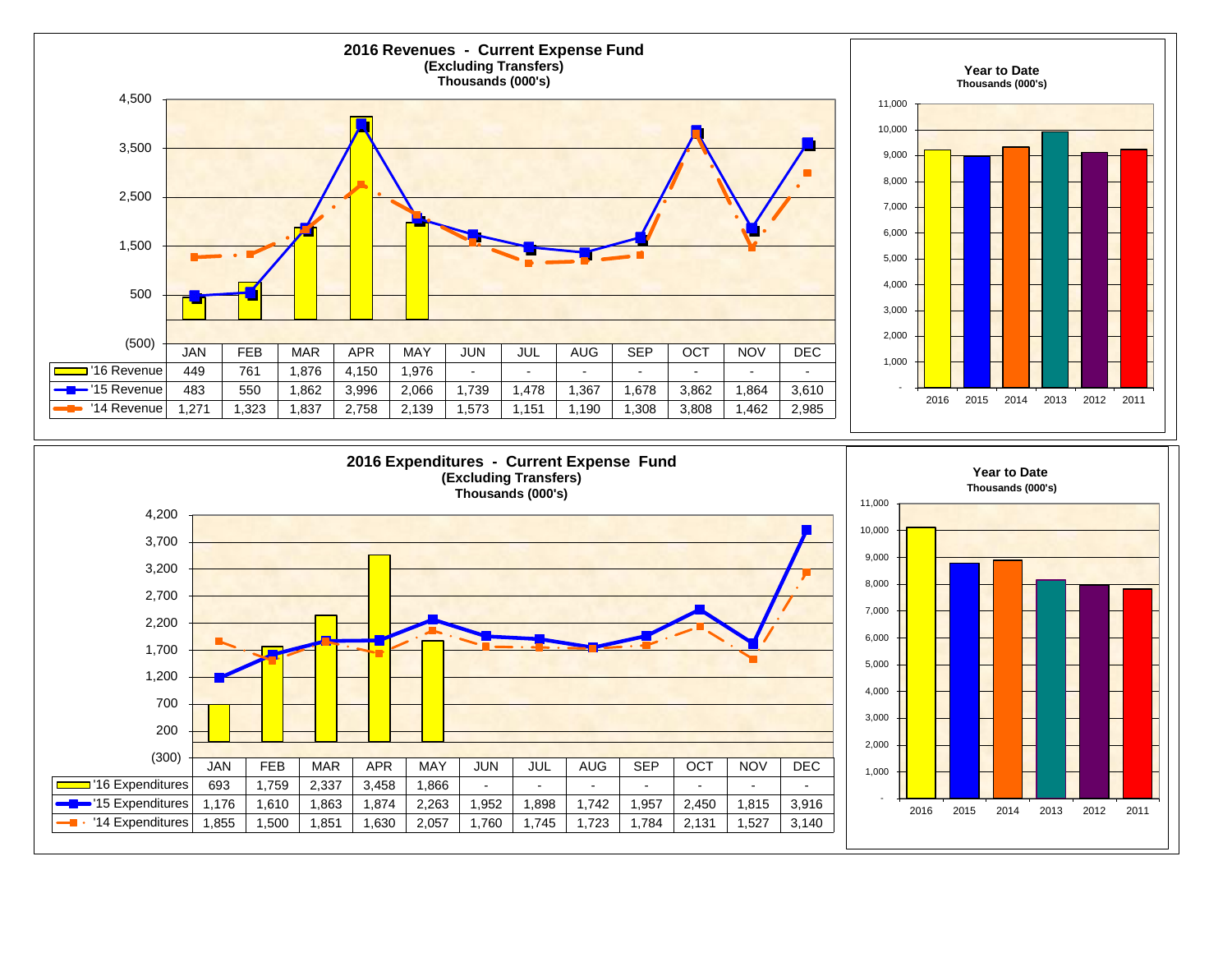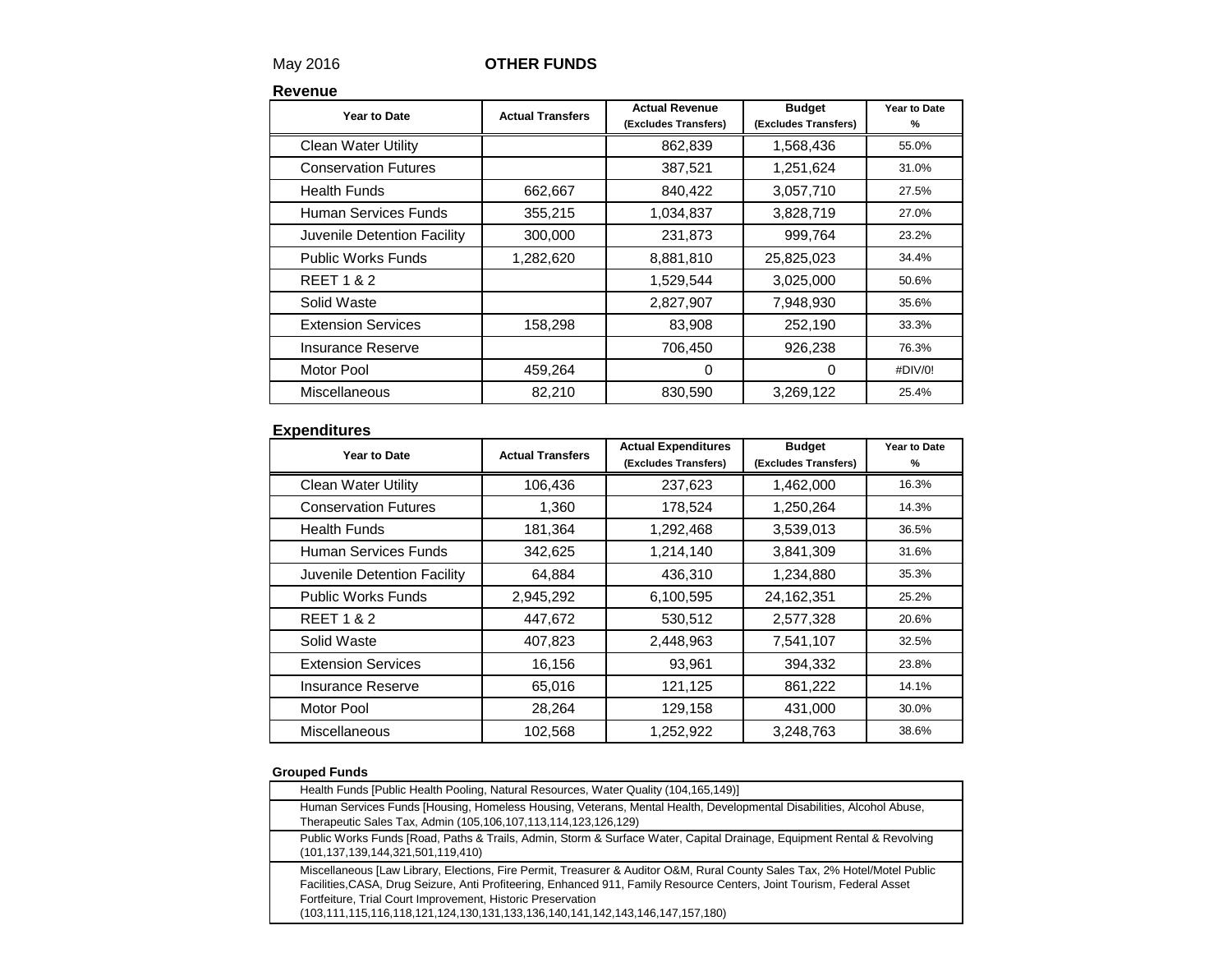## May 2016 **OTHER FUNDS**

**Revenue**

| Year to Date                | <b>Actual Transfers</b> | <b>Actual Revenue</b><br>(Excludes Transfers) | <b>Budget</b><br>(Excludes Transfers) | Year to Date<br>% |
|-----------------------------|-------------------------|-----------------------------------------------|---------------------------------------|-------------------|
| <b>Clean Water Utility</b>  |                         | 862,839                                       | 1,568,436                             | 55.0%             |
| <b>Conservation Futures</b> |                         | 387,521                                       | 1,251,624                             | 31.0%             |
| <b>Health Funds</b>         | 662,667                 | 840,422                                       | 3,057,710                             | 27.5%             |
| Human Services Funds        | 355,215                 | 1,034,837                                     | 3,828,719                             | 27.0%             |
| Juvenile Detention Facility | 300,000                 | 231,873                                       | 999,764                               | 23.2%             |
| <b>Public Works Funds</b>   | 1,282,620               | 8,881,810                                     | 25,825,023                            | 34.4%             |
| <b>REET 1 &amp; 2</b>       |                         | 1,529,544                                     | 3,025,000                             | 50.6%             |
| Solid Waste                 |                         | 2,827,907                                     | 7,948,930                             | 35.6%             |
| <b>Extension Services</b>   | 158,298                 | 83,908                                        | 252,190                               | 33.3%             |
| <b>Insurance Reserve</b>    |                         | 706,450                                       | 926,238                               | 76.3%             |
| Motor Pool                  | 459,264                 | 0                                             | $\Omega$                              | #DIV/0!           |
| Miscellaneous               | 82,210                  | 830,590                                       | 3,269,122                             | 25.4%             |

### **Expenditures**

| Year to Date                | <b>Actual Transfers</b> | <b>Actual Expenditures</b><br>(Excludes Transfers) | <b>Budget</b><br>(Excludes Transfers) | Year to Date<br>% |
|-----------------------------|-------------------------|----------------------------------------------------|---------------------------------------|-------------------|
| <b>Clean Water Utility</b>  | 106,436                 | 237,623                                            | 1,462,000                             | 16.3%             |
| <b>Conservation Futures</b> | 1,360                   | 178,524                                            | 1,250,264                             | 14.3%             |
| <b>Health Funds</b>         | 181,364                 | 1,292,468                                          | 3,539,013                             | 36.5%             |
| Human Services Funds        | 342,625                 | 1,214,140                                          | 3,841,309                             | 31.6%             |
| Juvenile Detention Facility | 64,884                  | 436,310                                            | 1,234,880                             | 35.3%             |
| <b>Public Works Funds</b>   | 2,945,292               | 6,100,595                                          | 24,162,351                            | 25.2%             |
| <b>REET 1 &amp; 2</b>       | 447,672                 | 530,512                                            | 2,577,328                             | 20.6%             |
| Solid Waste                 | 407,823                 | 2,448,963                                          | 7,541,107                             | 32.5%             |
| <b>Extension Services</b>   | 16,156                  | 93,961                                             | 394,332                               | 23.8%             |
| Insurance Reserve           | 65,016                  | 121,125                                            | 861,222                               | 14.1%             |
| Motor Pool                  | 28,264                  | 129,158                                            | 431,000                               | 30.0%             |
| <b>Miscellaneous</b>        | 102,568                 | 1,252,922                                          | 3,248,763                             | 38.6%             |

#### **Grouped Funds**

| Health Funds [Public Health Pooling, Natural Resources, Water Quality (104,165,149)]                                                                                                                                                                                                                                                                                                                                     |
|--------------------------------------------------------------------------------------------------------------------------------------------------------------------------------------------------------------------------------------------------------------------------------------------------------------------------------------------------------------------------------------------------------------------------|
| Human Services Funds [Housing, Homeless Housing, Veterans, Mental Health, Developmental Disabilities, Alcohol Abuse,<br>Therapeutic Sales Tax, Admin (105,106,107,113,114,123,126,129)                                                                                                                                                                                                                                   |
| Public Works Funds [Road, Paths & Trails, Admin, Storm & Surface Water, Capital Drainage, Equipment Rental & Revolving<br>(101,137,139,144,321,501,119,410)                                                                                                                                                                                                                                                              |
| Miscellaneous [Law Library, Elections, Fire Permit, Treasurer & Auditor O&M, Rural County Sales Tax, 2% Hotel/Motel Public<br>Facilities, CASA, Drug Seizure, Anti Profiteering, Enhanced 911, Family Resource Centers, Joint Tourism, Federal Asset<br>Fortfeiture, Trial Court Improvement, Historic Preservation<br>$(103, 111, 115, 116, 118, 121, 124, 130, 131, 133, 136, 140, 141, 142, 143, 146, 147, 157, 180)$ |
|                                                                                                                                                                                                                                                                                                                                                                                                                          |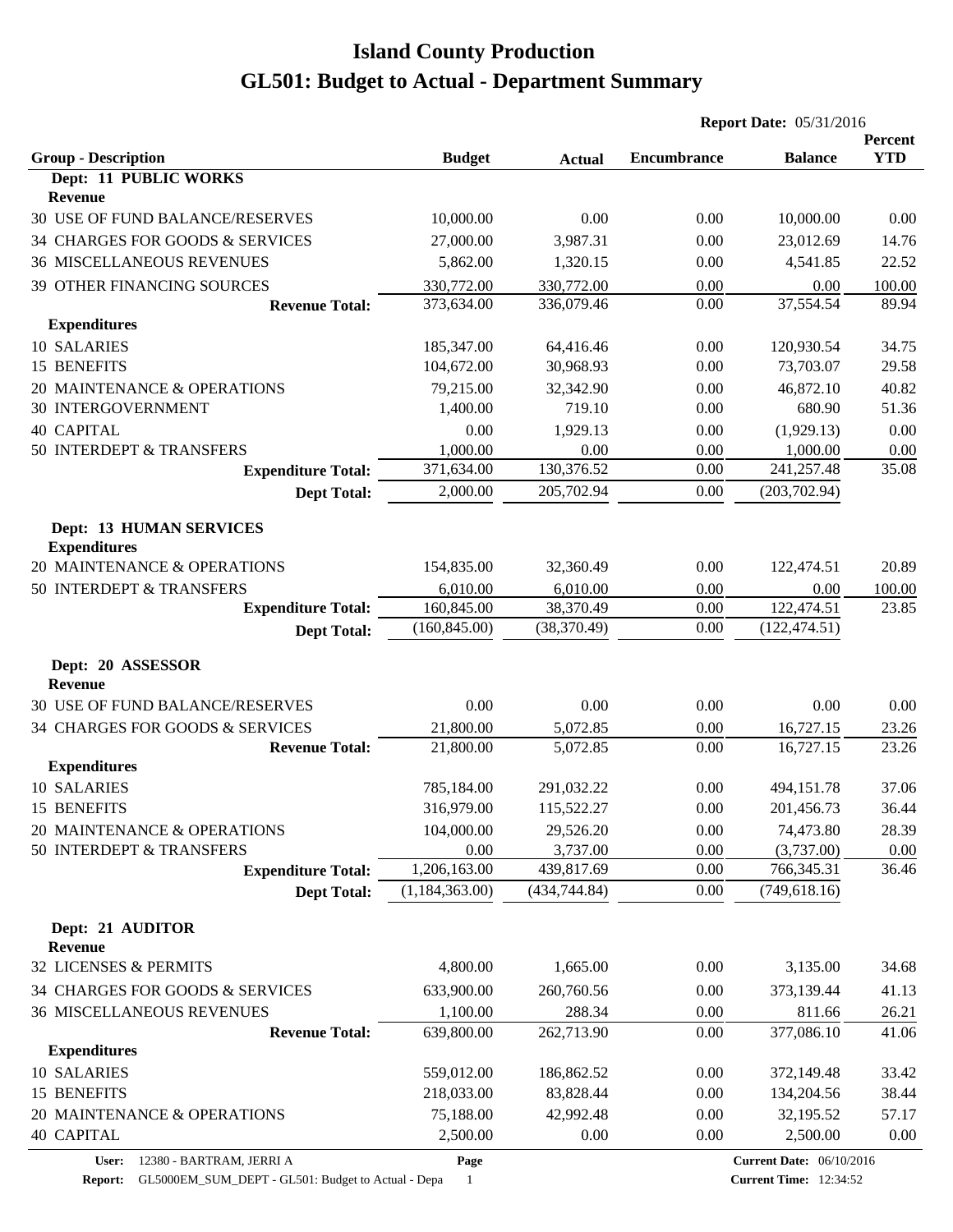| <b>YTD</b><br><b>Group - Description</b><br><b>Budget</b><br><b>Encumbrance</b><br><b>Balance</b><br><b>Actual</b><br>Dept: 11 PUBLIC WORKS<br>Revenue<br>30 USE OF FUND BALANCE/RESERVES<br>10,000.00<br>0.00<br>0.00<br>10,000.00<br>0.00<br>34 CHARGES FOR GOODS & SERVICES<br>27,000.00<br>3,987.31<br>0.00<br>23,012.69<br>14.76<br><b>36 MISCELLANEOUS REVENUES</b><br>5,862.00<br>4,541.85<br>22.52<br>1,320.15<br>0.00<br><b>39 OTHER FINANCING SOURCES</b><br>330,772.00<br>330,772.00<br>0.00<br>0.00<br>100.00<br>89.94<br>373,634.00<br>336,079.46<br>0.00<br>37,554.54<br><b>Revenue Total:</b><br><b>Expenditures</b><br>10 SALARIES<br>0.00<br>120,930.54<br>34.75<br>185,347.00<br>64,416.46<br>15 BENEFITS<br>104,672.00<br>30,968.93<br>0.00<br>73,703.07<br>29.58<br>20 MAINTENANCE & OPERATIONS<br>79,215.00<br>32,342.90<br>46,872.10<br>40.82<br>0.00<br>30 INTERGOVERNMENT<br>1,400.00<br>719.10<br>0.00<br>680.90<br>51.36<br><b>40 CAPITAL</b><br>0.00<br>1,929.13<br>0.00<br>(1,929.13)<br>0.00<br>50 INTERDEPT & TRANSFERS<br>1,000.00<br>0.00<br>1,000.00<br>0.00<br>0.00<br>35.08<br>371,634.00<br>130,376.52<br>0.00<br>241,257.48<br><b>Expenditure Total:</b><br>2,000.00<br>205,702.94<br>0.00<br>(203, 702.94)<br><b>Dept Total:</b><br><b>Dept: 13 HUMAN SERVICES</b><br><b>Expenditures</b><br>20 MAINTENANCE & OPERATIONS<br>154,835.00<br>20.89<br>32,360.49<br>0.00<br>122,474.51<br>6,010.00<br>0.00<br>50 INTERDEPT & TRANSFERS<br>6,010.00<br>0.00<br>100.00<br>122,474.51<br><b>Expenditure Total:</b><br>160,845.00<br>38,370.49<br>23.85<br>0.00<br>(160, 845.00)<br>0.00<br>(38, 370.49)<br>(122, 474.51)<br><b>Dept Total:</b><br>Dept: 20 ASSESSOR<br>Revenue<br>30 USE OF FUND BALANCE/RESERVES<br>0.00<br>0.00<br>0.00<br>0.00<br>0.00<br>21,800.00<br>0.00<br>34 CHARGES FOR GOODS & SERVICES<br>5,072.85<br>16,727.15<br>23.26<br><b>Revenue Total:</b><br>23.26<br>21,800.00<br>0.00<br>16,727.15<br>5,072.85<br><b>Expenditures</b><br>10 SALARIES<br>785,184.00<br>291,032.22<br>0.00<br>494,151.78<br>37.06<br>15 BENEFITS<br>316,979.00<br>115,522.27<br>0.00<br>36.44<br>201,456.73<br>104,000.00<br>29,526.20<br>74,473.80<br>28.39<br>20 MAINTENANCE & OPERATIONS<br>0.00<br>50 INTERDEPT & TRANSFERS<br>3,737.00<br>0.00<br>(3,737.00)<br>0.00<br>$0.00\,$<br>1,206,163.00<br>439,817.69<br>0.00<br>36.46<br><b>Expenditure Total:</b><br>766,345.31<br>(1,184,363.00)<br>(434, 744.84)<br>0.00<br>(749, 618.16)<br><b>Dept Total:</b><br>Dept: 21 AUDITOR<br><b>Revenue</b><br>32 LICENSES & PERMITS<br>4,800.00<br>1,665.00<br>0.00<br>3,135.00<br>34.68<br>34 CHARGES FOR GOODS & SERVICES<br>633,900.00<br>373,139.44<br>41.13<br>260,760.56<br>0.00<br>1,100.00<br>288.34<br>0.00<br>811.66<br>26.21<br><b>36 MISCELLANEOUS REVENUES</b><br><b>Revenue Total:</b><br>639,800.00<br>0.00<br>377,086.10<br>41.06<br>262,713.90<br><b>Expenditures</b><br>10 SALARIES<br>0.00<br>33.42<br>559,012.00<br>186,862.52<br>372,149.48<br>15 BENEFITS<br>38.44<br>218,033.00<br>83,828.44<br>0.00<br>134,204.56<br>20 MAINTENANCE & OPERATIONS<br>75,188.00<br>42,992.48<br>0.00<br>32,195.52<br>57.17<br><b>40 CAPITAL</b><br>2,500.00<br>0.00<br>2,500.00<br>$0.00\,$<br>0.00 |  | <b>Report Date: 05/31/2016</b> |  |         |  |
|------------------------------------------------------------------------------------------------------------------------------------------------------------------------------------------------------------------------------------------------------------------------------------------------------------------------------------------------------------------------------------------------------------------------------------------------------------------------------------------------------------------------------------------------------------------------------------------------------------------------------------------------------------------------------------------------------------------------------------------------------------------------------------------------------------------------------------------------------------------------------------------------------------------------------------------------------------------------------------------------------------------------------------------------------------------------------------------------------------------------------------------------------------------------------------------------------------------------------------------------------------------------------------------------------------------------------------------------------------------------------------------------------------------------------------------------------------------------------------------------------------------------------------------------------------------------------------------------------------------------------------------------------------------------------------------------------------------------------------------------------------------------------------------------------------------------------------------------------------------------------------------------------------------------------------------------------------------------------------------------------------------------------------------------------------------------------------------------------------------------------------------------------------------------------------------------------------------------------------------------------------------------------------------------------------------------------------------------------------------------------------------------------------------------------------------------------------------------------------------------------------------------------------------------------------------------------------------------------------------------------------------------------------------------------------------------------------------------------------------------------------------------------------------------------------------------------------------------------------------------------------------------------------------------------------------------------------------------------------------------------------------------------------------------------------------------------------------------------------------------------------------------------------------------------------------------------------------------------------------|--|--------------------------------|--|---------|--|
|                                                                                                                                                                                                                                                                                                                                                                                                                                                                                                                                                                                                                                                                                                                                                                                                                                                                                                                                                                                                                                                                                                                                                                                                                                                                                                                                                                                                                                                                                                                                                                                                                                                                                                                                                                                                                                                                                                                                                                                                                                                                                                                                                                                                                                                                                                                                                                                                                                                                                                                                                                                                                                                                                                                                                                                                                                                                                                                                                                                                                                                                                                                                                                                                                                          |  |                                |  | Percent |  |
|                                                                                                                                                                                                                                                                                                                                                                                                                                                                                                                                                                                                                                                                                                                                                                                                                                                                                                                                                                                                                                                                                                                                                                                                                                                                                                                                                                                                                                                                                                                                                                                                                                                                                                                                                                                                                                                                                                                                                                                                                                                                                                                                                                                                                                                                                                                                                                                                                                                                                                                                                                                                                                                                                                                                                                                                                                                                                                                                                                                                                                                                                                                                                                                                                                          |  |                                |  |         |  |
|                                                                                                                                                                                                                                                                                                                                                                                                                                                                                                                                                                                                                                                                                                                                                                                                                                                                                                                                                                                                                                                                                                                                                                                                                                                                                                                                                                                                                                                                                                                                                                                                                                                                                                                                                                                                                                                                                                                                                                                                                                                                                                                                                                                                                                                                                                                                                                                                                                                                                                                                                                                                                                                                                                                                                                                                                                                                                                                                                                                                                                                                                                                                                                                                                                          |  |                                |  |         |  |
|                                                                                                                                                                                                                                                                                                                                                                                                                                                                                                                                                                                                                                                                                                                                                                                                                                                                                                                                                                                                                                                                                                                                                                                                                                                                                                                                                                                                                                                                                                                                                                                                                                                                                                                                                                                                                                                                                                                                                                                                                                                                                                                                                                                                                                                                                                                                                                                                                                                                                                                                                                                                                                                                                                                                                                                                                                                                                                                                                                                                                                                                                                                                                                                                                                          |  |                                |  |         |  |
|                                                                                                                                                                                                                                                                                                                                                                                                                                                                                                                                                                                                                                                                                                                                                                                                                                                                                                                                                                                                                                                                                                                                                                                                                                                                                                                                                                                                                                                                                                                                                                                                                                                                                                                                                                                                                                                                                                                                                                                                                                                                                                                                                                                                                                                                                                                                                                                                                                                                                                                                                                                                                                                                                                                                                                                                                                                                                                                                                                                                                                                                                                                                                                                                                                          |  |                                |  |         |  |
|                                                                                                                                                                                                                                                                                                                                                                                                                                                                                                                                                                                                                                                                                                                                                                                                                                                                                                                                                                                                                                                                                                                                                                                                                                                                                                                                                                                                                                                                                                                                                                                                                                                                                                                                                                                                                                                                                                                                                                                                                                                                                                                                                                                                                                                                                                                                                                                                                                                                                                                                                                                                                                                                                                                                                                                                                                                                                                                                                                                                                                                                                                                                                                                                                                          |  |                                |  |         |  |
|                                                                                                                                                                                                                                                                                                                                                                                                                                                                                                                                                                                                                                                                                                                                                                                                                                                                                                                                                                                                                                                                                                                                                                                                                                                                                                                                                                                                                                                                                                                                                                                                                                                                                                                                                                                                                                                                                                                                                                                                                                                                                                                                                                                                                                                                                                                                                                                                                                                                                                                                                                                                                                                                                                                                                                                                                                                                                                                                                                                                                                                                                                                                                                                                                                          |  |                                |  |         |  |
|                                                                                                                                                                                                                                                                                                                                                                                                                                                                                                                                                                                                                                                                                                                                                                                                                                                                                                                                                                                                                                                                                                                                                                                                                                                                                                                                                                                                                                                                                                                                                                                                                                                                                                                                                                                                                                                                                                                                                                                                                                                                                                                                                                                                                                                                                                                                                                                                                                                                                                                                                                                                                                                                                                                                                                                                                                                                                                                                                                                                                                                                                                                                                                                                                                          |  |                                |  |         |  |
|                                                                                                                                                                                                                                                                                                                                                                                                                                                                                                                                                                                                                                                                                                                                                                                                                                                                                                                                                                                                                                                                                                                                                                                                                                                                                                                                                                                                                                                                                                                                                                                                                                                                                                                                                                                                                                                                                                                                                                                                                                                                                                                                                                                                                                                                                                                                                                                                                                                                                                                                                                                                                                                                                                                                                                                                                                                                                                                                                                                                                                                                                                                                                                                                                                          |  |                                |  |         |  |
|                                                                                                                                                                                                                                                                                                                                                                                                                                                                                                                                                                                                                                                                                                                                                                                                                                                                                                                                                                                                                                                                                                                                                                                                                                                                                                                                                                                                                                                                                                                                                                                                                                                                                                                                                                                                                                                                                                                                                                                                                                                                                                                                                                                                                                                                                                                                                                                                                                                                                                                                                                                                                                                                                                                                                                                                                                                                                                                                                                                                                                                                                                                                                                                                                                          |  |                                |  |         |  |
|                                                                                                                                                                                                                                                                                                                                                                                                                                                                                                                                                                                                                                                                                                                                                                                                                                                                                                                                                                                                                                                                                                                                                                                                                                                                                                                                                                                                                                                                                                                                                                                                                                                                                                                                                                                                                                                                                                                                                                                                                                                                                                                                                                                                                                                                                                                                                                                                                                                                                                                                                                                                                                                                                                                                                                                                                                                                                                                                                                                                                                                                                                                                                                                                                                          |  |                                |  |         |  |
|                                                                                                                                                                                                                                                                                                                                                                                                                                                                                                                                                                                                                                                                                                                                                                                                                                                                                                                                                                                                                                                                                                                                                                                                                                                                                                                                                                                                                                                                                                                                                                                                                                                                                                                                                                                                                                                                                                                                                                                                                                                                                                                                                                                                                                                                                                                                                                                                                                                                                                                                                                                                                                                                                                                                                                                                                                                                                                                                                                                                                                                                                                                                                                                                                                          |  |                                |  |         |  |
|                                                                                                                                                                                                                                                                                                                                                                                                                                                                                                                                                                                                                                                                                                                                                                                                                                                                                                                                                                                                                                                                                                                                                                                                                                                                                                                                                                                                                                                                                                                                                                                                                                                                                                                                                                                                                                                                                                                                                                                                                                                                                                                                                                                                                                                                                                                                                                                                                                                                                                                                                                                                                                                                                                                                                                                                                                                                                                                                                                                                                                                                                                                                                                                                                                          |  |                                |  |         |  |
|                                                                                                                                                                                                                                                                                                                                                                                                                                                                                                                                                                                                                                                                                                                                                                                                                                                                                                                                                                                                                                                                                                                                                                                                                                                                                                                                                                                                                                                                                                                                                                                                                                                                                                                                                                                                                                                                                                                                                                                                                                                                                                                                                                                                                                                                                                                                                                                                                                                                                                                                                                                                                                                                                                                                                                                                                                                                                                                                                                                                                                                                                                                                                                                                                                          |  |                                |  |         |  |
|                                                                                                                                                                                                                                                                                                                                                                                                                                                                                                                                                                                                                                                                                                                                                                                                                                                                                                                                                                                                                                                                                                                                                                                                                                                                                                                                                                                                                                                                                                                                                                                                                                                                                                                                                                                                                                                                                                                                                                                                                                                                                                                                                                                                                                                                                                                                                                                                                                                                                                                                                                                                                                                                                                                                                                                                                                                                                                                                                                                                                                                                                                                                                                                                                                          |  |                                |  |         |  |
|                                                                                                                                                                                                                                                                                                                                                                                                                                                                                                                                                                                                                                                                                                                                                                                                                                                                                                                                                                                                                                                                                                                                                                                                                                                                                                                                                                                                                                                                                                                                                                                                                                                                                                                                                                                                                                                                                                                                                                                                                                                                                                                                                                                                                                                                                                                                                                                                                                                                                                                                                                                                                                                                                                                                                                                                                                                                                                                                                                                                                                                                                                                                                                                                                                          |  |                                |  |         |  |
|                                                                                                                                                                                                                                                                                                                                                                                                                                                                                                                                                                                                                                                                                                                                                                                                                                                                                                                                                                                                                                                                                                                                                                                                                                                                                                                                                                                                                                                                                                                                                                                                                                                                                                                                                                                                                                                                                                                                                                                                                                                                                                                                                                                                                                                                                                                                                                                                                                                                                                                                                                                                                                                                                                                                                                                                                                                                                                                                                                                                                                                                                                                                                                                                                                          |  |                                |  |         |  |
|                                                                                                                                                                                                                                                                                                                                                                                                                                                                                                                                                                                                                                                                                                                                                                                                                                                                                                                                                                                                                                                                                                                                                                                                                                                                                                                                                                                                                                                                                                                                                                                                                                                                                                                                                                                                                                                                                                                                                                                                                                                                                                                                                                                                                                                                                                                                                                                                                                                                                                                                                                                                                                                                                                                                                                                                                                                                                                                                                                                                                                                                                                                                                                                                                                          |  |                                |  |         |  |
|                                                                                                                                                                                                                                                                                                                                                                                                                                                                                                                                                                                                                                                                                                                                                                                                                                                                                                                                                                                                                                                                                                                                                                                                                                                                                                                                                                                                                                                                                                                                                                                                                                                                                                                                                                                                                                                                                                                                                                                                                                                                                                                                                                                                                                                                                                                                                                                                                                                                                                                                                                                                                                                                                                                                                                                                                                                                                                                                                                                                                                                                                                                                                                                                                                          |  |                                |  |         |  |
|                                                                                                                                                                                                                                                                                                                                                                                                                                                                                                                                                                                                                                                                                                                                                                                                                                                                                                                                                                                                                                                                                                                                                                                                                                                                                                                                                                                                                                                                                                                                                                                                                                                                                                                                                                                                                                                                                                                                                                                                                                                                                                                                                                                                                                                                                                                                                                                                                                                                                                                                                                                                                                                                                                                                                                                                                                                                                                                                                                                                                                                                                                                                                                                                                                          |  |                                |  |         |  |
|                                                                                                                                                                                                                                                                                                                                                                                                                                                                                                                                                                                                                                                                                                                                                                                                                                                                                                                                                                                                                                                                                                                                                                                                                                                                                                                                                                                                                                                                                                                                                                                                                                                                                                                                                                                                                                                                                                                                                                                                                                                                                                                                                                                                                                                                                                                                                                                                                                                                                                                                                                                                                                                                                                                                                                                                                                                                                                                                                                                                                                                                                                                                                                                                                                          |  |                                |  |         |  |
|                                                                                                                                                                                                                                                                                                                                                                                                                                                                                                                                                                                                                                                                                                                                                                                                                                                                                                                                                                                                                                                                                                                                                                                                                                                                                                                                                                                                                                                                                                                                                                                                                                                                                                                                                                                                                                                                                                                                                                                                                                                                                                                                                                                                                                                                                                                                                                                                                                                                                                                                                                                                                                                                                                                                                                                                                                                                                                                                                                                                                                                                                                                                                                                                                                          |  |                                |  |         |  |
|                                                                                                                                                                                                                                                                                                                                                                                                                                                                                                                                                                                                                                                                                                                                                                                                                                                                                                                                                                                                                                                                                                                                                                                                                                                                                                                                                                                                                                                                                                                                                                                                                                                                                                                                                                                                                                                                                                                                                                                                                                                                                                                                                                                                                                                                                                                                                                                                                                                                                                                                                                                                                                                                                                                                                                                                                                                                                                                                                                                                                                                                                                                                                                                                                                          |  |                                |  |         |  |
|                                                                                                                                                                                                                                                                                                                                                                                                                                                                                                                                                                                                                                                                                                                                                                                                                                                                                                                                                                                                                                                                                                                                                                                                                                                                                                                                                                                                                                                                                                                                                                                                                                                                                                                                                                                                                                                                                                                                                                                                                                                                                                                                                                                                                                                                                                                                                                                                                                                                                                                                                                                                                                                                                                                                                                                                                                                                                                                                                                                                                                                                                                                                                                                                                                          |  |                                |  |         |  |
|                                                                                                                                                                                                                                                                                                                                                                                                                                                                                                                                                                                                                                                                                                                                                                                                                                                                                                                                                                                                                                                                                                                                                                                                                                                                                                                                                                                                                                                                                                                                                                                                                                                                                                                                                                                                                                                                                                                                                                                                                                                                                                                                                                                                                                                                                                                                                                                                                                                                                                                                                                                                                                                                                                                                                                                                                                                                                                                                                                                                                                                                                                                                                                                                                                          |  |                                |  |         |  |
|                                                                                                                                                                                                                                                                                                                                                                                                                                                                                                                                                                                                                                                                                                                                                                                                                                                                                                                                                                                                                                                                                                                                                                                                                                                                                                                                                                                                                                                                                                                                                                                                                                                                                                                                                                                                                                                                                                                                                                                                                                                                                                                                                                                                                                                                                                                                                                                                                                                                                                                                                                                                                                                                                                                                                                                                                                                                                                                                                                                                                                                                                                                                                                                                                                          |  |                                |  |         |  |
|                                                                                                                                                                                                                                                                                                                                                                                                                                                                                                                                                                                                                                                                                                                                                                                                                                                                                                                                                                                                                                                                                                                                                                                                                                                                                                                                                                                                                                                                                                                                                                                                                                                                                                                                                                                                                                                                                                                                                                                                                                                                                                                                                                                                                                                                                                                                                                                                                                                                                                                                                                                                                                                                                                                                                                                                                                                                                                                                                                                                                                                                                                                                                                                                                                          |  |                                |  |         |  |
|                                                                                                                                                                                                                                                                                                                                                                                                                                                                                                                                                                                                                                                                                                                                                                                                                                                                                                                                                                                                                                                                                                                                                                                                                                                                                                                                                                                                                                                                                                                                                                                                                                                                                                                                                                                                                                                                                                                                                                                                                                                                                                                                                                                                                                                                                                                                                                                                                                                                                                                                                                                                                                                                                                                                                                                                                                                                                                                                                                                                                                                                                                                                                                                                                                          |  |                                |  |         |  |
|                                                                                                                                                                                                                                                                                                                                                                                                                                                                                                                                                                                                                                                                                                                                                                                                                                                                                                                                                                                                                                                                                                                                                                                                                                                                                                                                                                                                                                                                                                                                                                                                                                                                                                                                                                                                                                                                                                                                                                                                                                                                                                                                                                                                                                                                                                                                                                                                                                                                                                                                                                                                                                                                                                                                                                                                                                                                                                                                                                                                                                                                                                                                                                                                                                          |  |                                |  |         |  |
|                                                                                                                                                                                                                                                                                                                                                                                                                                                                                                                                                                                                                                                                                                                                                                                                                                                                                                                                                                                                                                                                                                                                                                                                                                                                                                                                                                                                                                                                                                                                                                                                                                                                                                                                                                                                                                                                                                                                                                                                                                                                                                                                                                                                                                                                                                                                                                                                                                                                                                                                                                                                                                                                                                                                                                                                                                                                                                                                                                                                                                                                                                                                                                                                                                          |  |                                |  |         |  |
|                                                                                                                                                                                                                                                                                                                                                                                                                                                                                                                                                                                                                                                                                                                                                                                                                                                                                                                                                                                                                                                                                                                                                                                                                                                                                                                                                                                                                                                                                                                                                                                                                                                                                                                                                                                                                                                                                                                                                                                                                                                                                                                                                                                                                                                                                                                                                                                                                                                                                                                                                                                                                                                                                                                                                                                                                                                                                                                                                                                                                                                                                                                                                                                                                                          |  |                                |  |         |  |
|                                                                                                                                                                                                                                                                                                                                                                                                                                                                                                                                                                                                                                                                                                                                                                                                                                                                                                                                                                                                                                                                                                                                                                                                                                                                                                                                                                                                                                                                                                                                                                                                                                                                                                                                                                                                                                                                                                                                                                                                                                                                                                                                                                                                                                                                                                                                                                                                                                                                                                                                                                                                                                                                                                                                                                                                                                                                                                                                                                                                                                                                                                                                                                                                                                          |  |                                |  |         |  |
|                                                                                                                                                                                                                                                                                                                                                                                                                                                                                                                                                                                                                                                                                                                                                                                                                                                                                                                                                                                                                                                                                                                                                                                                                                                                                                                                                                                                                                                                                                                                                                                                                                                                                                                                                                                                                                                                                                                                                                                                                                                                                                                                                                                                                                                                                                                                                                                                                                                                                                                                                                                                                                                                                                                                                                                                                                                                                                                                                                                                                                                                                                                                                                                                                                          |  |                                |  |         |  |
|                                                                                                                                                                                                                                                                                                                                                                                                                                                                                                                                                                                                                                                                                                                                                                                                                                                                                                                                                                                                                                                                                                                                                                                                                                                                                                                                                                                                                                                                                                                                                                                                                                                                                                                                                                                                                                                                                                                                                                                                                                                                                                                                                                                                                                                                                                                                                                                                                                                                                                                                                                                                                                                                                                                                                                                                                                                                                                                                                                                                                                                                                                                                                                                                                                          |  |                                |  |         |  |
|                                                                                                                                                                                                                                                                                                                                                                                                                                                                                                                                                                                                                                                                                                                                                                                                                                                                                                                                                                                                                                                                                                                                                                                                                                                                                                                                                                                                                                                                                                                                                                                                                                                                                                                                                                                                                                                                                                                                                                                                                                                                                                                                                                                                                                                                                                                                                                                                                                                                                                                                                                                                                                                                                                                                                                                                                                                                                                                                                                                                                                                                                                                                                                                                                                          |  |                                |  |         |  |
|                                                                                                                                                                                                                                                                                                                                                                                                                                                                                                                                                                                                                                                                                                                                                                                                                                                                                                                                                                                                                                                                                                                                                                                                                                                                                                                                                                                                                                                                                                                                                                                                                                                                                                                                                                                                                                                                                                                                                                                                                                                                                                                                                                                                                                                                                                                                                                                                                                                                                                                                                                                                                                                                                                                                                                                                                                                                                                                                                                                                                                                                                                                                                                                                                                          |  |                                |  |         |  |
|                                                                                                                                                                                                                                                                                                                                                                                                                                                                                                                                                                                                                                                                                                                                                                                                                                                                                                                                                                                                                                                                                                                                                                                                                                                                                                                                                                                                                                                                                                                                                                                                                                                                                                                                                                                                                                                                                                                                                                                                                                                                                                                                                                                                                                                                                                                                                                                                                                                                                                                                                                                                                                                                                                                                                                                                                                                                                                                                                                                                                                                                                                                                                                                                                                          |  |                                |  |         |  |
|                                                                                                                                                                                                                                                                                                                                                                                                                                                                                                                                                                                                                                                                                                                                                                                                                                                                                                                                                                                                                                                                                                                                                                                                                                                                                                                                                                                                                                                                                                                                                                                                                                                                                                                                                                                                                                                                                                                                                                                                                                                                                                                                                                                                                                                                                                                                                                                                                                                                                                                                                                                                                                                                                                                                                                                                                                                                                                                                                                                                                                                                                                                                                                                                                                          |  |                                |  |         |  |
|                                                                                                                                                                                                                                                                                                                                                                                                                                                                                                                                                                                                                                                                                                                                                                                                                                                                                                                                                                                                                                                                                                                                                                                                                                                                                                                                                                                                                                                                                                                                                                                                                                                                                                                                                                                                                                                                                                                                                                                                                                                                                                                                                                                                                                                                                                                                                                                                                                                                                                                                                                                                                                                                                                                                                                                                                                                                                                                                                                                                                                                                                                                                                                                                                                          |  |                                |  |         |  |
|                                                                                                                                                                                                                                                                                                                                                                                                                                                                                                                                                                                                                                                                                                                                                                                                                                                                                                                                                                                                                                                                                                                                                                                                                                                                                                                                                                                                                                                                                                                                                                                                                                                                                                                                                                                                                                                                                                                                                                                                                                                                                                                                                                                                                                                                                                                                                                                                                                                                                                                                                                                                                                                                                                                                                                                                                                                                                                                                                                                                                                                                                                                                                                                                                                          |  |                                |  |         |  |
|                                                                                                                                                                                                                                                                                                                                                                                                                                                                                                                                                                                                                                                                                                                                                                                                                                                                                                                                                                                                                                                                                                                                                                                                                                                                                                                                                                                                                                                                                                                                                                                                                                                                                                                                                                                                                                                                                                                                                                                                                                                                                                                                                                                                                                                                                                                                                                                                                                                                                                                                                                                                                                                                                                                                                                                                                                                                                                                                                                                                                                                                                                                                                                                                                                          |  |                                |  |         |  |
|                                                                                                                                                                                                                                                                                                                                                                                                                                                                                                                                                                                                                                                                                                                                                                                                                                                                                                                                                                                                                                                                                                                                                                                                                                                                                                                                                                                                                                                                                                                                                                                                                                                                                                                                                                                                                                                                                                                                                                                                                                                                                                                                                                                                                                                                                                                                                                                                                                                                                                                                                                                                                                                                                                                                                                                                                                                                                                                                                                                                                                                                                                                                                                                                                                          |  |                                |  |         |  |
|                                                                                                                                                                                                                                                                                                                                                                                                                                                                                                                                                                                                                                                                                                                                                                                                                                                                                                                                                                                                                                                                                                                                                                                                                                                                                                                                                                                                                                                                                                                                                                                                                                                                                                                                                                                                                                                                                                                                                                                                                                                                                                                                                                                                                                                                                                                                                                                                                                                                                                                                                                                                                                                                                                                                                                                                                                                                                                                                                                                                                                                                                                                                                                                                                                          |  |                                |  |         |  |

**User:** 12380 - BARTRAM, JERRI A

**Page**

**Current Date:** 06/10/2016 **Current Time:** 12:34:52

**Report:** GL5000EM\_SUM\_DEPT - GL501: Budget to Actual - Depa 1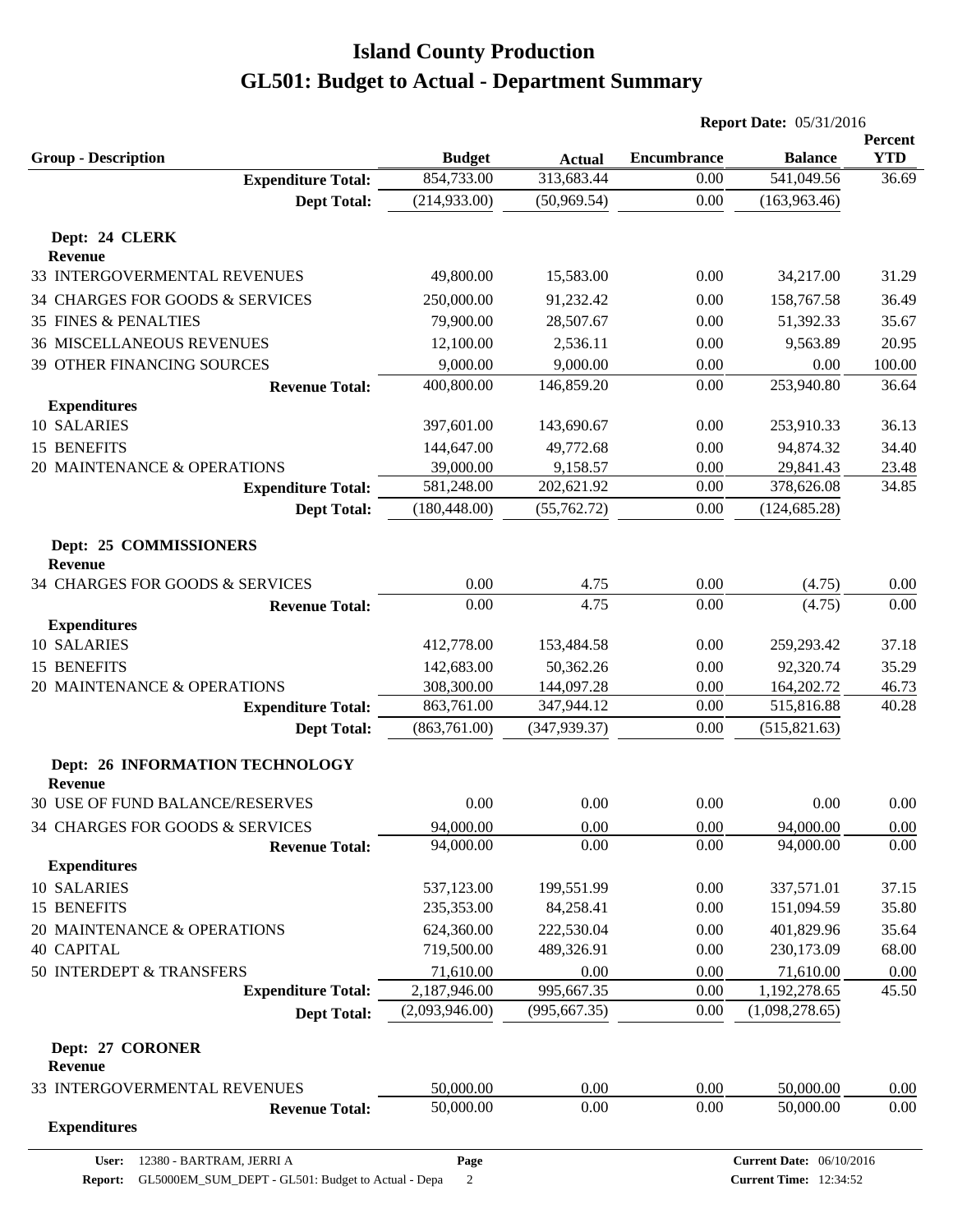|                                                     |                          |                         | <b>Report Date: 05/31/2016</b> |                                 |                       |
|-----------------------------------------------------|--------------------------|-------------------------|--------------------------------|---------------------------------|-----------------------|
| <b>Group - Description</b>                          | <b>Budget</b>            | <b>Actual</b>           | <b>Encumbrance</b>             | <b>Balance</b>                  | Percent<br><b>YTD</b> |
| <b>Expenditure Total:</b>                           | 854,733.00               | 313,683.44              | 0.00                           | 541,049.56                      | 36.69                 |
| <b>Dept Total:</b>                                  | (214, 933.00)            | (50,969.54)             | 0.00                           | (163,963.46)                    |                       |
| Dept: 24 CLERK<br><b>Revenue</b>                    |                          |                         |                                |                                 |                       |
| 33 INTERGOVERMENTAL REVENUES                        | 49,800.00                | 15,583.00               | 0.00                           | 34,217.00                       | 31.29                 |
| 34 CHARGES FOR GOODS & SERVICES                     | 250,000.00               | 91,232.42               | 0.00                           | 158,767.58                      | 36.49                 |
| <b>35 FINES &amp; PENALTIES</b>                     | 79,900.00                | 28,507.67               | 0.00                           | 51,392.33                       | 35.67                 |
| <b>36 MISCELLANEOUS REVENUES</b>                    | 12,100.00                | 2,536.11                | 0.00                           | 9,563.89                        | 20.95                 |
|                                                     | 9,000.00                 |                         | 0.00                           | 0.00                            | 100.00                |
| 39 OTHER FINANCING SOURCES<br><b>Revenue Total:</b> | 400,800.00               | 9,000.00<br>146,859.20  | 0.00                           | 253,940.80                      | 36.64                 |
| <b>Expenditures</b>                                 |                          |                         |                                |                                 |                       |
| 10 SALARIES                                         | 397,601.00               | 143,690.67              | 0.00                           | 253,910.33                      | 36.13                 |
| 15 BENEFITS                                         | 144,647.00               | 49,772.68               | 0.00                           | 94,874.32                       | 34.40                 |
| 20 MAINTENANCE & OPERATIONS                         | 39,000.00                | 9,158.57                | 0.00                           | 29,841.43                       | 23.48                 |
| <b>Expenditure Total:</b>                           | 581,248.00               | 202,621.92              | 0.00                           | 378,626.08                      | 34.85                 |
| <b>Dept Total:</b>                                  | (180, 448.00)            | (55,762.72)             | 0.00                           | (124, 685.28)                   |                       |
| Dept: 25 COMMISSIONERS                              |                          |                         |                                |                                 |                       |
| <b>Revenue</b>                                      |                          |                         |                                |                                 |                       |
| 34 CHARGES FOR GOODS & SERVICES                     | 0.00                     | 4.75                    | 0.00                           | (4.75)                          | 0.00                  |
| <b>Revenue Total:</b>                               | 0.00                     | 4.75                    | 0.00                           | (4.75)                          | 0.00                  |
| <b>Expenditures</b>                                 |                          |                         |                                |                                 |                       |
| 10 SALARIES                                         | 412,778.00               | 153,484.58              | 0.00                           | 259,293.42                      | 37.18                 |
| <b>15 BENEFITS</b>                                  | 142,683.00               | 50,362.26               | 0.00                           | 92,320.74                       | 35.29                 |
| 20 MAINTENANCE & OPERATIONS                         | 308,300.00               | 144,097.28              | 0.00                           | 164,202.72                      | 46.73                 |
| <b>Expenditure Total:</b>                           | 863,761.00               | 347,944.12              | 0.00                           | 515,816.88                      | 40.28                 |
| <b>Dept Total:</b>                                  | (863,761.00)             | (347, 939.37)           | 0.00                           | (515, 821.63)                   |                       |
| Dept: 26 INFORMATION TECHNOLOGY<br><b>Revenue</b>   |                          |                         |                                |                                 |                       |
| 30 USE OF FUND BALANCE/RESERVES                     | 0.00                     | 0.00                    | 0.00                           | 0.00                            | 0.00                  |
| 34 CHARGES FOR GOODS & SERVICES                     | 94,000.00                | 0.00                    | 0.00                           | 94,000.00                       | 0.00                  |
| <b>Revenue Total:</b>                               | 94,000.00                | 0.00                    | 0.00                           | 94,000.00                       | 0.00                  |
| <b>Expenditures</b>                                 |                          |                         |                                |                                 |                       |
| 10 SALARIES<br>15 BENEFITS                          | 537,123.00<br>235,353.00 | 199,551.99<br>84,258.41 | 0.00<br>0.00                   | 337,571.01                      | 37.15                 |
|                                                     |                          | 222,530.04              |                                | 151,094.59                      | 35.80                 |
| 20 MAINTENANCE & OPERATIONS<br><b>40 CAPITAL</b>    | 624,360.00<br>719,500.00 | 489,326.91              | 0.00<br>0.00                   | 401,829.96<br>230,173.09        | 35.64<br>68.00        |
| 50 INTERDEPT & TRANSFERS                            | 71,610.00                | 0.00                    | 0.00                           |                                 | 0.00                  |
| <b>Expenditure Total:</b>                           | 2,187,946.00             | 995,667.35              | 0.00                           | 71,610.00<br>1,192,278.65       | 45.50                 |
| <b>Dept Total:</b>                                  | (2,093,946.00)           | (995, 667.35)           | $0.00\,$                       | (1,098,278.65)                  |                       |
| Dept: 27 CORONER                                    |                          |                         |                                |                                 |                       |
| <b>Revenue</b>                                      |                          |                         |                                |                                 |                       |
| 33 INTERGOVERMENTAL REVENUES                        | 50,000.00                | 0.00                    | 0.00                           | 50,000.00                       | 0.00                  |
| <b>Revenue Total:</b><br><b>Expenditures</b>        | 50,000.00                | 0.00                    | 0.00                           | 50,000.00                       | 0.00                  |
| User: 12380 - BARTRAM, JERRI A                      | Page                     |                         |                                | <b>Current Date: 06/10/2016</b> |                       |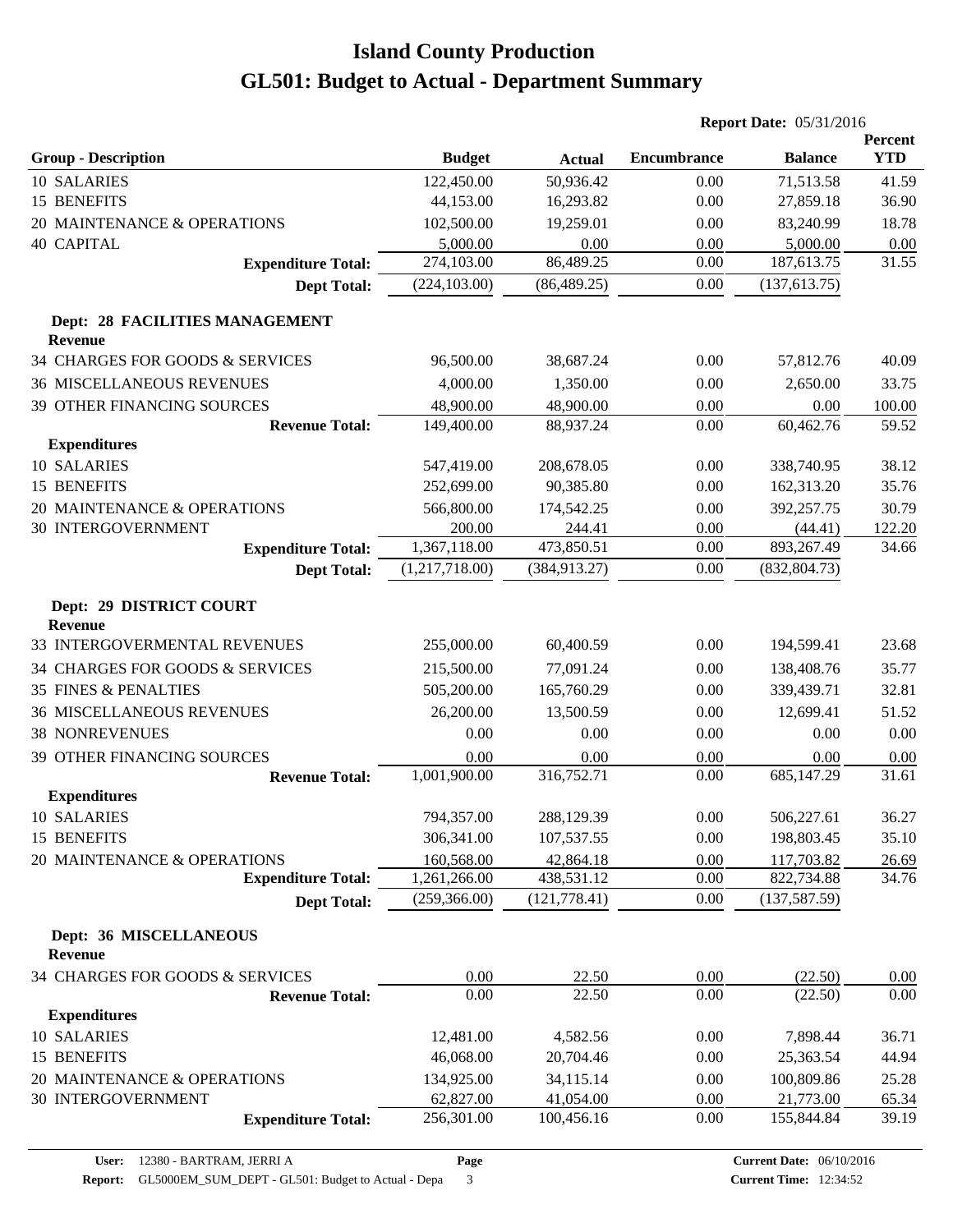|                                           |                |               | <b>Report Date: 05/31/2016</b> |                |                       |
|-------------------------------------------|----------------|---------------|--------------------------------|----------------|-----------------------|
| <b>Group - Description</b>                | <b>Budget</b>  | <b>Actual</b> | <b>Encumbrance</b>             | <b>Balance</b> | Percent<br><b>YTD</b> |
| 10 SALARIES                               | 122,450.00     | 50,936.42     | 0.00                           | 71,513.58      | 41.59                 |
| 15 BENEFITS                               | 44,153.00      | 16,293.82     | 0.00                           | 27,859.18      | 36.90                 |
| 20 MAINTENANCE & OPERATIONS               | 102,500.00     | 19,259.01     | 0.00                           | 83,240.99      | 18.78                 |
| <b>40 CAPITAL</b>                         | 5,000.00       | 0.00          | 0.00                           | 5,000.00       | 0.00                  |
| <b>Expenditure Total:</b>                 | 274,103.00     | 86,489.25     | 0.00                           | 187,613.75     | 31.55                 |
| <b>Dept Total:</b>                        | (224, 103.00)  | (86, 489.25)  | 0.00                           | (137, 613.75)  |                       |
| Dept: 28 FACILITIES MANAGEMENT<br>Revenue |                |               |                                |                |                       |
| 34 CHARGES FOR GOODS & SERVICES           | 96,500.00      | 38,687.24     | 0.00                           | 57,812.76      | 40.09                 |
| <b>36 MISCELLANEOUS REVENUES</b>          | 4,000.00       | 1,350.00      | 0.00                           | 2,650.00       | 33.75                 |
| 39 OTHER FINANCING SOURCES                | 48,900.00      | 48,900.00     | 0.00                           | 0.00           | 100.00                |
| <b>Revenue Total:</b>                     | 149,400.00     | 88,937.24     | 0.00                           | 60,462.76      | 59.52                 |
| <b>Expenditures</b>                       |                |               |                                |                |                       |
| 10 SALARIES                               | 547,419.00     | 208,678.05    | 0.00                           | 338,740.95     | 38.12                 |
| 15 BENEFITS                               | 252,699.00     | 90,385.80     | 0.00                           | 162,313.20     | 35.76                 |
| 20 MAINTENANCE & OPERATIONS               | 566,800.00     | 174,542.25    | 0.00                           | 392,257.75     | 30.79                 |
| <b>30 INTERGOVERNMENT</b>                 | 200.00         | 244.41        | 0.00                           | (44.41)        | 122.20                |
| <b>Expenditure Total:</b>                 | 1,367,118.00   | 473,850.51    | 0.00                           | 893,267.49     | 34.66                 |
| <b>Dept Total:</b>                        | (1,217,718.00) | (384, 913.27) | 0.00                           | (832, 804.73)  |                       |
| Dept: 29 DISTRICT COURT<br><b>Revenue</b> |                |               |                                |                |                       |
| 33 INTERGOVERMENTAL REVENUES              | 255,000.00     | 60,400.59     | 0.00                           | 194,599.41     | 23.68                 |
| 34 CHARGES FOR GOODS & SERVICES           | 215,500.00     | 77,091.24     | 0.00                           | 138,408.76     | 35.77                 |
| 35 FINES & PENALTIES                      | 505,200.00     | 165,760.29    | 0.00                           | 339,439.71     | 32.81                 |
| <b>36 MISCELLANEOUS REVENUES</b>          | 26,200.00      | 13,500.59     | 0.00                           | 12,699.41      | 51.52                 |
| <b>38 NONREVENUES</b>                     | 0.00           | 0.00          | 0.00                           | 0.00           | 0.00                  |
| 39 OTHER FINANCING SOURCES                | 0.00           | 0.00          | 0.00                           | 0.00           | 0.00                  |
| <b>Revenue Total:</b>                     | 1,001,900.00   | 316,752.71    | 0.00                           | 685,147.29     | 31.61                 |
| <b>Expenditures</b>                       |                |               |                                |                |                       |
| 10 SALARIES                               | 794,357.00     | 288,129.39    | 0.00                           | 506,227.61     | 36.27                 |
| 15 BENEFITS                               | 306,341.00     | 107,537.55    | 0.00                           | 198,803.45     | 35.10                 |
| 20 MAINTENANCE & OPERATIONS               | 160,568.00     | 42,864.18     | 0.00                           | 117,703.82     | 26.69                 |
| <b>Expenditure Total:</b>                 | 1,261,266.00   | 438,531.12    | 0.00                           | 822,734.88     | 34.76                 |
| <b>Dept Total:</b>                        | (259, 366.00)  | (121, 778.41) | 0.00                           | (137, 587.59)  |                       |
| Dept: 36 MISCELLANEOUS<br>Revenue         |                |               |                                |                |                       |
| 34 CHARGES FOR GOODS & SERVICES           | 0.00           | 22.50         | 0.00                           | (22.50)        | 0.00                  |
| <b>Revenue Total:</b>                     | 0.00           | 22.50         | 0.00                           | (22.50)        | 0.00                  |
| <b>Expenditures</b>                       |                |               |                                |                |                       |
| <b>10 SALARIES</b>                        | 12,481.00      | 4,582.56      | 0.00                           | 7,898.44       | 36.71                 |
| 15 BENEFITS                               | 46,068.00      | 20,704.46     | 0.00                           | 25,363.54      | 44.94                 |
| 20 MAINTENANCE & OPERATIONS               | 134,925.00     | 34,115.14     | 0.00                           | 100,809.86     | 25.28                 |
| <b>30 INTERGOVERNMENT</b>                 | 62,827.00      | 41,054.00     | 0.00                           | 21,773.00      | 65.34                 |
| <b>Expenditure Total:</b>                 | 256,301.00     | 100,456.16    | 0.00                           | 155,844.84     | 39.19                 |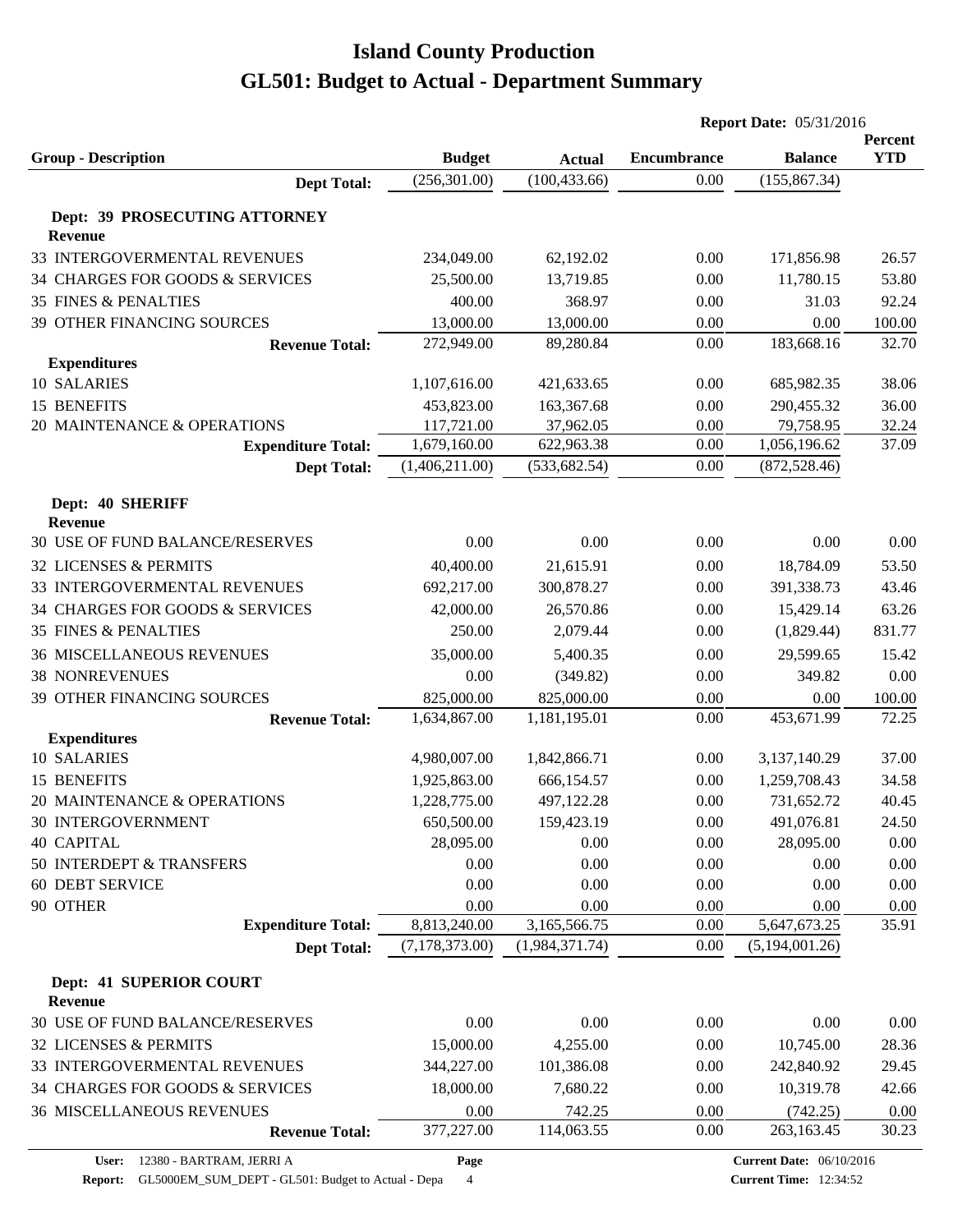|                                                |                              |                          | <b>Report Date: 05/31/2016</b> |                                 |                       |  |
|------------------------------------------------|------------------------------|--------------------------|--------------------------------|---------------------------------|-----------------------|--|
| <b>Group - Description</b>                     | <b>Budget</b>                | <b>Actual</b>            | <b>Encumbrance</b>             | <b>Balance</b>                  | Percent<br><b>YTD</b> |  |
| <b>Dept Total:</b>                             | (256, 301.00)                | (100, 433.66)            | 0.00                           | (155, 867.34)                   |                       |  |
| Dept: 39 PROSECUTING ATTORNEY                  |                              |                          |                                |                                 |                       |  |
| <b>Revenue</b><br>33 INTERGOVERMENTAL REVENUES | 234,049.00                   | 62,192.02                | 0.00                           | 171,856.98                      | 26.57                 |  |
| 34 CHARGES FOR GOODS & SERVICES                | 25,500.00                    | 13,719.85                | 0.00                           | 11,780.15                       | 53.80                 |  |
| <b>35 FINES &amp; PENALTIES</b>                | 400.00                       | 368.97                   | 0.00                           | 31.03                           | 92.24                 |  |
| <b>39 OTHER FINANCING SOURCES</b>              | 13,000.00                    | 13,000.00                | 0.00                           | 0.00                            | 100.00                |  |
| <b>Revenue Total:</b>                          | 272,949.00                   | 89,280.84                | 0.00                           | 183,668.16                      | 32.70                 |  |
| <b>Expenditures</b>                            |                              |                          |                                |                                 |                       |  |
| 10 SALARIES                                    | 1,107,616.00                 | 421,633.65               | 0.00                           | 685,982.35                      | 38.06                 |  |
| 15 BENEFITS                                    | 453,823.00                   | 163,367.68               | 0.00                           | 290,455.32                      | 36.00                 |  |
| 20 MAINTENANCE & OPERATIONS                    | 117,721.00                   | 37,962.05                | 0.00                           | 79,758.95                       | 32.24                 |  |
| <b>Expenditure Total:</b>                      | 1,679,160.00                 | 622,963.38               | 0.00                           | 1,056,196.62                    | 37.09                 |  |
| <b>Dept Total:</b>                             | (1,406,211.00)               | (533, 682.54)            | 0.00                           | (872, 528.46)                   |                       |  |
| Dept: 40 SHERIFF                               |                              |                          |                                |                                 |                       |  |
| <b>Revenue</b>                                 |                              |                          |                                |                                 |                       |  |
| <b>30 USE OF FUND BALANCE/RESERVES</b>         | 0.00                         | 0.00                     | 0.00                           | 0.00                            | 0.00                  |  |
| 32 LICENSES & PERMITS                          | 40,400.00                    | 21,615.91                | 0.00                           | 18,784.09                       | 53.50                 |  |
| 33 INTERGOVERMENTAL REVENUES                   | 692,217.00                   | 300,878.27               | 0.00                           | 391,338.73                      | 43.46                 |  |
| 34 CHARGES FOR GOODS & SERVICES                | 42,000.00                    | 26,570.86                | 0.00                           | 15,429.14                       | 63.26                 |  |
| <b>35 FINES &amp; PENALTIES</b>                | 250.00                       | 2,079.44                 | 0.00                           | (1,829.44)                      | 831.77                |  |
| <b>36 MISCELLANEOUS REVENUES</b>               | 35,000.00                    | 5,400.35                 | 0.00                           | 29,599.65                       | 15.42                 |  |
| <b>38 NONREVENUES</b>                          | 0.00                         | (349.82)                 | 0.00                           | 349.82                          | 0.00                  |  |
| 39 OTHER FINANCING SOURCES                     | 825,000.00                   | 825,000.00               | 0.00                           | 0.00                            | 100.00                |  |
| <b>Revenue Total:</b>                          | 1,634,867.00                 | 1,181,195.01             | 0.00                           | 453,671.99                      | 72.25                 |  |
| <b>Expenditures</b><br>10 SALARIES             | 4,980,007.00                 | 1,842,866.71             |                                |                                 |                       |  |
|                                                |                              |                          | 0.00                           | 3,137,140.29                    | 37.00                 |  |
| 15 BENEFITS<br>20 MAINTENANCE & OPERATIONS     | 1,925,863.00<br>1,228,775.00 | 666,154.57<br>497,122.28 | 0.00<br>0.00                   | 1,259,708.43<br>731,652.72      | 34.58<br>40.45        |  |
| <b>30 INTERGOVERNMENT</b>                      |                              |                          | 0.00                           |                                 | 24.50                 |  |
| <b>40 CAPITAL</b>                              | 650,500.00<br>28,095.00      | 159,423.19<br>0.00       | 0.00                           | 491,076.81<br>28,095.00         | 0.00                  |  |
| 50 INTERDEPT & TRANSFERS                       | 0.00                         | 0.00                     | 0.00                           | 0.00                            | 0.00                  |  |
| <b>60 DEBT SERVICE</b>                         | 0.00                         | 0.00                     | 0.00                           | 0.00                            | 0.00                  |  |
| 90 OTHER                                       | 0.00                         | 0.00                     | 0.00                           | 0.00                            | 0.00                  |  |
| <b>Expenditure Total:</b>                      | 8,813,240.00                 | 3,165,566.75             | 0.00                           | 5,647,673.25                    | 35.91                 |  |
| <b>Dept Total:</b>                             | (7,178,373.00)               | (1,984,371.74)           | 0.00                           | (5,194,001.26)                  |                       |  |
|                                                |                              |                          |                                |                                 |                       |  |
| Dept: 41 SUPERIOR COURT<br><b>Revenue</b>      |                              |                          |                                |                                 |                       |  |
| 30 USE OF FUND BALANCE/RESERVES                | 0.00                         | 0.00                     | 0.00                           | 0.00                            | 0.00                  |  |
| 32 LICENSES & PERMITS                          | 15,000.00                    | 4,255.00                 | 0.00                           | 10,745.00                       | 28.36                 |  |
| 33 INTERGOVERMENTAL REVENUES                   | 344,227.00                   | 101,386.08               | 0.00                           | 242,840.92                      | 29.45                 |  |
| 34 CHARGES FOR GOODS & SERVICES                | 18,000.00                    | 7,680.22                 | 0.00                           | 10,319.78                       | 42.66                 |  |
| <b>36 MISCELLANEOUS REVENUES</b>               | 0.00                         | 742.25                   | 0.00                           | (742.25)                        | 0.00                  |  |
| <b>Revenue Total:</b>                          | 377,227.00                   | 114,063.55               | 0.00                           | 263,163.45                      | 30.23                 |  |
| 12380 - BARTRAM, JERRI A<br>User:              | Page                         |                          |                                | <b>Current Date: 06/10/2016</b> |                       |  |

**Page**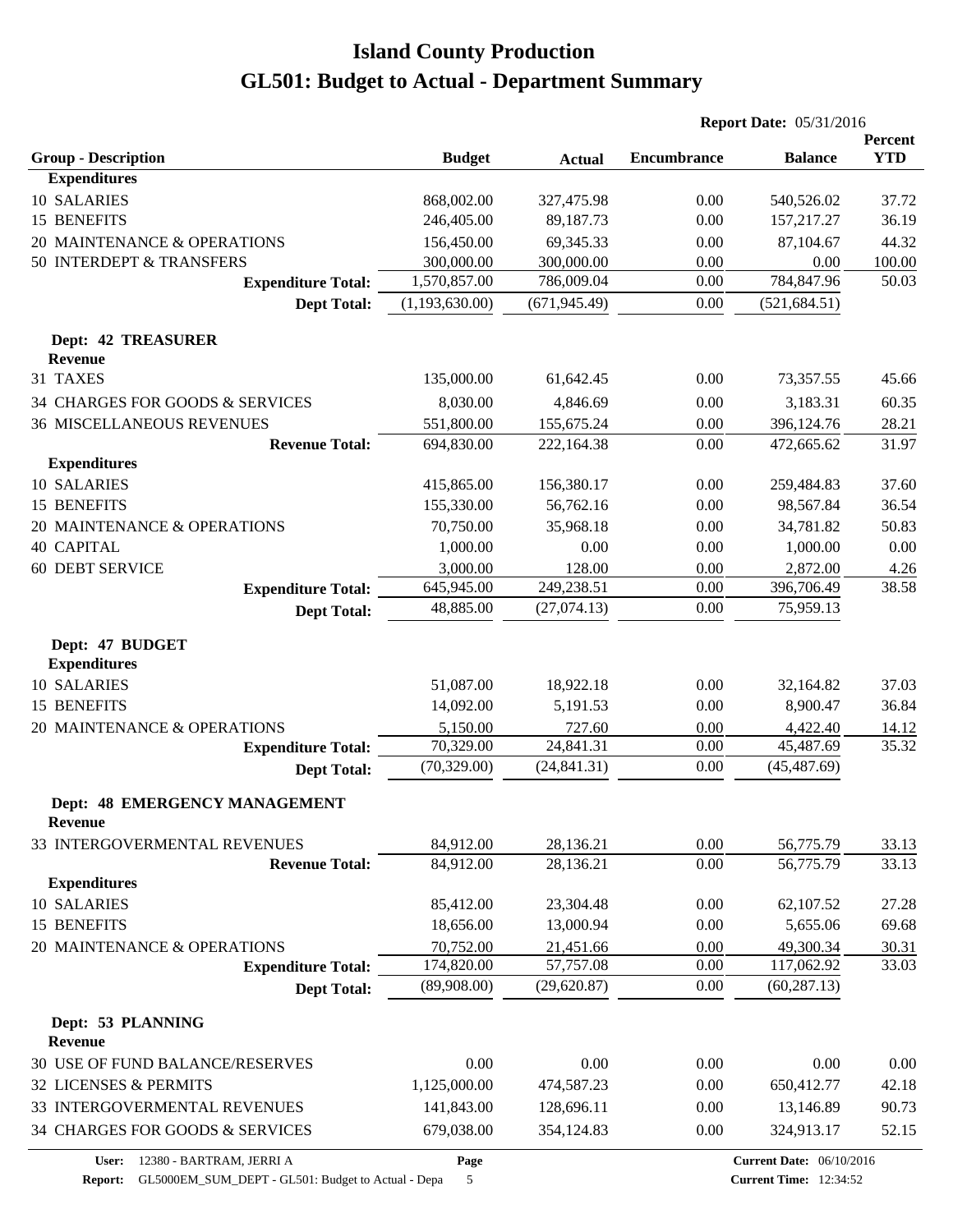|                                        |                         |                        | <b>Report Date: 05/31/2016</b> |                                 |                       |
|----------------------------------------|-------------------------|------------------------|--------------------------------|---------------------------------|-----------------------|
| <b>Group - Description</b>             | <b>Budget</b>           |                        | <b>Encumbrance</b>             | <b>Balance</b>                  | Percent<br><b>YTD</b> |
| <b>Expenditures</b>                    |                         | <b>Actual</b>          |                                |                                 |                       |
| 10 SALARIES                            | 868,002.00              | 327,475.98             | 0.00                           | 540,526.02                      | 37.72                 |
| 15 BENEFITS                            | 246,405.00              | 89,187.73              | 0.00                           | 157,217.27                      | 36.19                 |
| 20 MAINTENANCE & OPERATIONS            | 156,450.00              | 69,345.33              | 0.00                           | 87,104.67                       | 44.32                 |
| 50 INTERDEPT & TRANSFERS               | 300,000.00              | 300,000.00             | 0.00                           | 0.00                            | 100.00                |
| <b>Expenditure Total:</b>              | 1,570,857.00            | 786,009.04             | 0.00                           | 784,847.96                      | 50.03                 |
| <b>Dept Total:</b>                     | (1,193,630.00)          | (671, 945.49)          | 0.00                           | (521, 684.51)                   |                       |
|                                        |                         |                        |                                |                                 |                       |
| <b>Dept: 42 TREASURER</b>              |                         |                        |                                |                                 |                       |
| <b>Revenue</b>                         |                         |                        |                                |                                 |                       |
| 31 TAXES                               | 135,000.00              | 61,642.45              | 0.00                           | 73,357.55                       | 45.66                 |
| 34 CHARGES FOR GOODS & SERVICES        | 8,030.00                | 4,846.69               | 0.00                           | 3,183.31                        | 60.35                 |
| <b>36 MISCELLANEOUS REVENUES</b>       | 551,800.00              | 155,675.24             | 0.00                           | 396,124.76                      | 28.21                 |
| <b>Revenue Total:</b>                  | 694,830.00              | 222,164.38             | 0.00                           | 472,665.62                      | 31.97                 |
| <b>Expenditures</b>                    |                         |                        |                                |                                 |                       |
| 10 SALARIES                            | 415,865.00              | 156,380.17             | 0.00                           | 259,484.83                      | 37.60                 |
| 15 BENEFITS                            | 155,330.00              | 56,762.16              | 0.00                           | 98,567.84                       | 36.54                 |
| 20 MAINTENANCE & OPERATIONS            | 70,750.00               | 35,968.18              | 0.00                           | 34,781.82                       | 50.83                 |
| <b>40 CAPITAL</b>                      | 1,000.00                | 0.00                   | 0.00                           | 1,000.00                        | 0.00                  |
| <b>60 DEBT SERVICE</b>                 | 3,000.00                | 128.00                 | 0.00                           | 2,872.00                        | 4.26                  |
| <b>Expenditure Total:</b>              | 645,945.00              | 249,238.51             | 0.00                           | 396,706.49                      | 38.58                 |
| <b>Dept Total:</b>                     | 48,885.00               | (27,074.13)            | 0.00                           | 75,959.13                       |                       |
| Dept: 47 BUDGET<br><b>Expenditures</b> |                         |                        |                                |                                 |                       |
| 10 SALARIES                            | 51,087.00               | 18,922.18              | 0.00                           | 32,164.82                       | 37.03                 |
| 15 BENEFITS                            | 14,092.00               | 5,191.53               | 0.00                           | 8,900.47                        | 36.84                 |
| 20 MAINTENANCE & OPERATIONS            | 5,150.00                | 727.60                 | 0.00                           | 4,422.40                        | 14.12                 |
| <b>Expenditure Total:</b>              | 70,329.00               | 24,841.31              | 0.00                           | 45,487.69                       | 35.32                 |
| <b>Dept Total:</b>                     | (70, 329.00)            | (24, 841.31)           | 0.00                           | (45, 487.69)                    |                       |
| <b>Dept: 48 EMERGENCY MANAGEMENT</b>   |                         |                        |                                |                                 |                       |
| <b>Revenue</b>                         |                         |                        |                                |                                 |                       |
| 33 INTERGOVERMENTAL REVENUES           | 84,912.00               | 28,136.21              | 0.00                           | 56,775.79                       | 33.13                 |
| <b>Revenue Total:</b>                  | 84,912.00               | 28,136.21              | 0.00                           | 56,775.79                       | 33.13                 |
| <b>Expenditures</b>                    |                         |                        |                                |                                 |                       |
| 10 SALARIES                            | 85,412.00               | 23,304.48              | 0.00                           | 62,107.52                       | 27.28                 |
| 15 BENEFITS                            | 18,656.00               | 13,000.94              | 0.00                           | 5,655.06                        | 69.68                 |
| 20 MAINTENANCE & OPERATIONS            | 70,752.00<br>174,820.00 | 21,451.66<br>57,757.08 | 0.00<br>0.00                   | 49,300.34<br>117,062.92         | 30.31<br>33.03        |
| <b>Expenditure Total:</b>              | (89,908.00)             | (29,620.87)            | 0.00                           | (60, 287.13)                    |                       |
| <b>Dept Total:</b>                     |                         |                        |                                |                                 |                       |
| Dept: 53 PLANNING<br><b>Revenue</b>    |                         |                        |                                |                                 |                       |
| 30 USE OF FUND BALANCE/RESERVES        | 0.00                    | 0.00                   | 0.00                           | 0.00                            | 0.00                  |
| 32 LICENSES & PERMITS                  | 1,125,000.00            | 474,587.23             | 0.00                           | 650,412.77                      | 42.18                 |
| 33 INTERGOVERMENTAL REVENUES           | 141,843.00              | 128,696.11             | 0.00                           | 13,146.89                       | 90.73                 |
| 34 CHARGES FOR GOODS & SERVICES        | 679,038.00              | 354,124.83             | 0.00                           | 324,913.17                      | 52.15                 |
| 12380 - BARTRAM, JERRI A<br>User:      | Page                    |                        |                                | <b>Current Date: 06/10/2016</b> |                       |

**Report:** GL5000EM\_SUM\_DEPT - GL501: Budget to Actual - Depa 5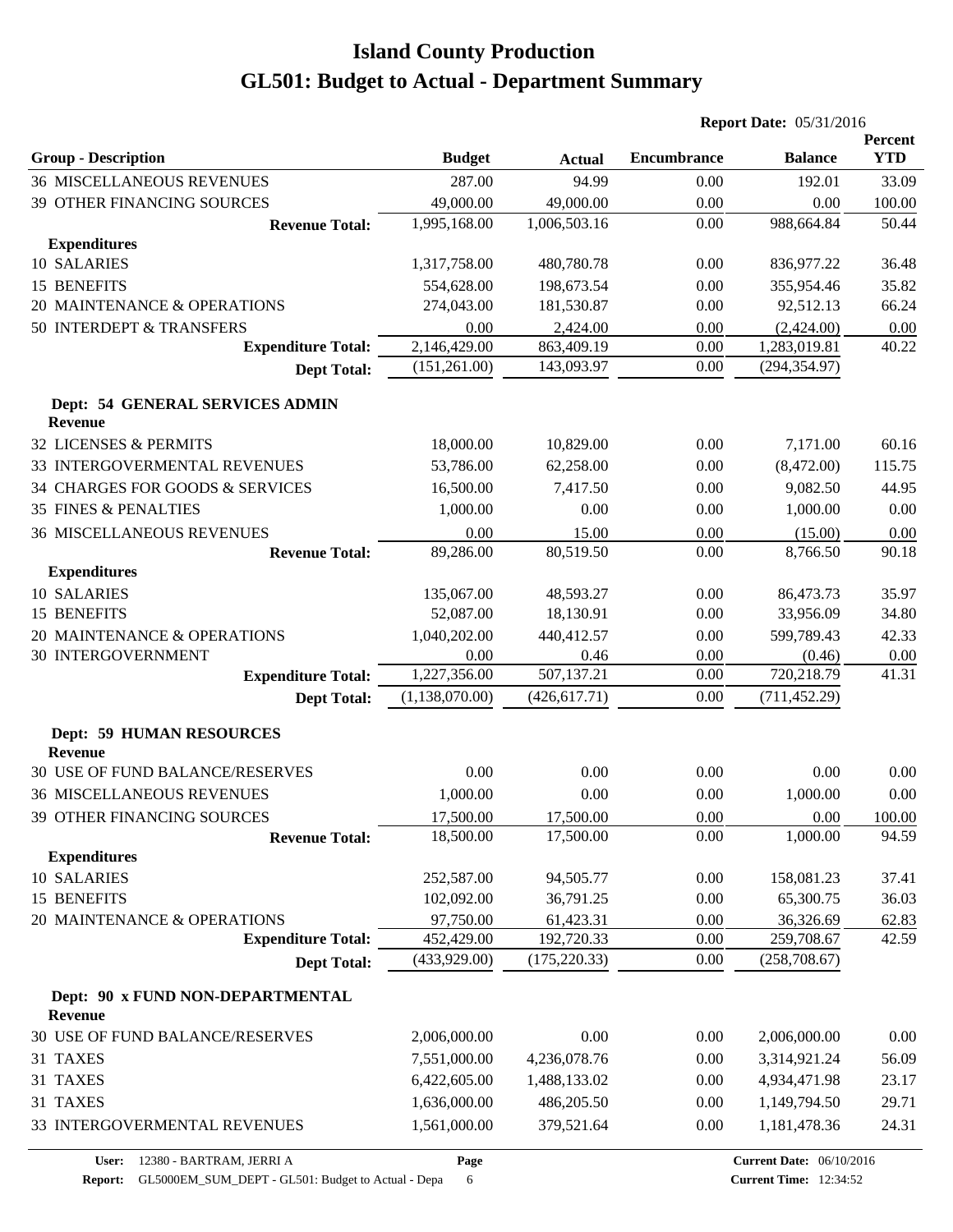|                                                    |                |               | <b>Report Date: 05/31/2016</b> |                                 |                       |
|----------------------------------------------------|----------------|---------------|--------------------------------|---------------------------------|-----------------------|
| <b>Group - Description</b>                         | <b>Budget</b>  | <b>Actual</b> | <b>Encumbrance</b>             | <b>Balance</b>                  | Percent<br><b>YTD</b> |
| <b>36 MISCELLANEOUS REVENUES</b>                   | 287.00         | 94.99         | 0.00                           | 192.01                          | 33.09                 |
| 39 OTHER FINANCING SOURCES                         | 49,000.00      | 49,000.00     | 0.00                           | 0.00                            | 100.00                |
| <b>Revenue Total:</b>                              | 1,995,168.00   | 1,006,503.16  | 0.00                           | 988,664.84                      | 50.44                 |
| <b>Expenditures</b>                                |                |               |                                |                                 |                       |
| 10 SALARIES                                        | 1,317,758.00   | 480,780.78    | 0.00                           | 836,977.22                      | 36.48                 |
| 15 BENEFITS                                        | 554,628.00     | 198,673.54    | 0.00                           | 355,954.46                      | 35.82                 |
| 20 MAINTENANCE & OPERATIONS                        | 274,043.00     | 181,530.87    | 0.00                           | 92,512.13                       | 66.24                 |
| 50 INTERDEPT & TRANSFERS                           | 0.00           | 2,424.00      | 0.00                           | (2,424.00)                      | 0.00                  |
| <b>Expenditure Total:</b>                          | 2,146,429.00   | 863,409.19    | 0.00                           | 1,283,019.81                    | 40.22                 |
| <b>Dept Total:</b>                                 | (151,261.00)   | 143,093.97    | 0.00                           | (294, 354.97)                   |                       |
| Dept: 54 GENERAL SERVICES ADMIN                    |                |               |                                |                                 |                       |
| <b>Revenue</b>                                     |                |               |                                |                                 |                       |
| <b>32 LICENSES &amp; PERMITS</b>                   | 18,000.00      | 10,829.00     | 0.00                           | 7,171.00                        | 60.16                 |
| 33 INTERGOVERMENTAL REVENUES                       | 53,786.00      | 62,258.00     | 0.00                           | (8,472.00)                      | 115.75                |
| 34 CHARGES FOR GOODS & SERVICES                    | 16,500.00      | 7,417.50      | 0.00                           | 9,082.50                        | 44.95                 |
| <b>35 FINES &amp; PENALTIES</b>                    | 1,000.00       | 0.00          | 0.00                           | 1,000.00                        | 0.00                  |
| <b>36 MISCELLANEOUS REVENUES</b>                   | 0.00           | 15.00         | 0.00                           | (15.00)                         | 0.00                  |
| <b>Revenue Total:</b><br><b>Expenditures</b>       | 89,286.00      | 80,519.50     | 0.00                           | 8,766.50                        | 90.18                 |
| 10 SALARIES                                        | 135,067.00     | 48,593.27     | 0.00                           | 86,473.73                       | 35.97                 |
| 15 BENEFITS                                        | 52,087.00      | 18,130.91     | 0.00                           | 33,956.09                       | 34.80                 |
| 20 MAINTENANCE & OPERATIONS                        | 1,040,202.00   | 440,412.57    | 0.00                           | 599,789.43                      |                       |
| <b>30 INTERGOVERNMENT</b>                          | 0.00           | 0.46          | 0.00                           | (0.46)                          | 42.33                 |
| <b>Expenditure Total:</b>                          | 1,227,356.00   | 507,137.21    | 0.00                           | 720,218.79                      | 0.00<br>41.31         |
| <b>Dept Total:</b>                                 | (1,138,070.00) | (426, 617.71) | 0.00                           | (711, 452.29)                   |                       |
| <b>Dept: 59 HUMAN RESOURCES</b>                    |                |               |                                |                                 |                       |
| <b>Revenue</b>                                     |                |               |                                |                                 |                       |
| <b>30 USE OF FUND BALANCE/RESERVES</b>             | 0.00           | 0.00          | 0.00                           | 0.00                            | 0.00                  |
| <b>36 MISCELLANEOUS REVENUES</b>                   | 1,000.00       | 0.00          | 0.00                           | 1,000.00                        | 0.00                  |
| 39 OTHER FINANCING SOURCES                         | 17,500.00      | 17,500.00     | 0.00                           | 0.00                            | 100.00                |
| <b>Revenue Total:</b>                              | 18,500.00      | 17,500.00     | 0.00                           | 1,000.00                        | 94.59                 |
| <b>Expenditures</b>                                |                |               |                                |                                 |                       |
| 10 SALARIES                                        | 252,587.00     | 94,505.77     | 0.00                           | 158,081.23                      | 37.41                 |
| 15 BENEFITS                                        | 102,092.00     | 36,791.25     | 0.00                           | 65,300.75                       | 36.03                 |
| 20 MAINTENANCE & OPERATIONS                        | 97,750.00      | 61,423.31     | 0.00                           | 36,326.69                       | 62.83                 |
| <b>Expenditure Total:</b>                          | 452,429.00     | 192,720.33    | 0.00                           | 259,708.67                      | 42.59                 |
| <b>Dept Total:</b>                                 | (433,929.00)   | (175, 220.33) | 0.00                           | (258, 708.67)                   |                       |
| Dept: 90 x FUND NON-DEPARTMENTAL<br><b>Revenue</b> |                |               |                                |                                 |                       |
| 30 USE OF FUND BALANCE/RESERVES                    | 2,006,000.00   | 0.00          | 0.00                           | 2,006,000.00                    | 0.00                  |
| 31 TAXES                                           | 7,551,000.00   | 4,236,078.76  | 0.00                           | 3,314,921.24                    | 56.09                 |
| 31 TAXES                                           | 6,422,605.00   | 1,488,133.02  | 0.00                           | 4,934,471.98                    | 23.17                 |
| 31 TAXES                                           | 1,636,000.00   | 486,205.50    | 0.00                           | 1,149,794.50                    | 29.71                 |
| 33 INTERGOVERMENTAL REVENUES                       | 1,561,000.00   | 379,521.64    | 0.00                           | 1,181,478.36                    | 24.31                 |
| 12380 - BARTRAM, JERRI A<br>User:                  | Page           |               |                                | <b>Current Date: 06/10/2016</b> |                       |